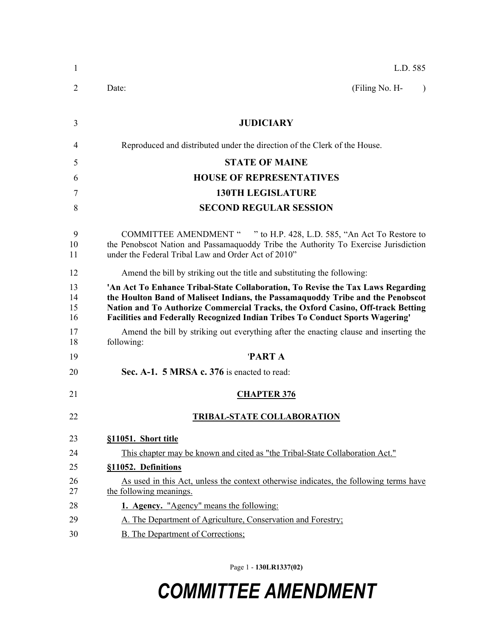| 1                    | L.D. 585                                                                                                                                                                                                                                                                                                                               |
|----------------------|----------------------------------------------------------------------------------------------------------------------------------------------------------------------------------------------------------------------------------------------------------------------------------------------------------------------------------------|
| 2                    | (Filing No. H-<br>Date:<br>$\lambda$                                                                                                                                                                                                                                                                                                   |
| 3                    | <b>JUDICIARY</b>                                                                                                                                                                                                                                                                                                                       |
| 4                    | Reproduced and distributed under the direction of the Clerk of the House.                                                                                                                                                                                                                                                              |
| 5                    | <b>STATE OF MAINE</b>                                                                                                                                                                                                                                                                                                                  |
| 6                    | <b>HOUSE OF REPRESENTATIVES</b>                                                                                                                                                                                                                                                                                                        |
| 7                    | <b>130TH LEGISLATURE</b>                                                                                                                                                                                                                                                                                                               |
| 8                    | <b>SECOND REGULAR SESSION</b>                                                                                                                                                                                                                                                                                                          |
| 9<br>10<br>11        | COMMITTEE AMENDMENT " " to H.P. 428, L.D. 585, "An Act To Restore to<br>the Penobscot Nation and Passamaquoddy Tribe the Authority To Exercise Jurisdiction<br>under the Federal Tribal Law and Order Act of 2010"                                                                                                                     |
| 12                   | Amend the bill by striking out the title and substituting the following:                                                                                                                                                                                                                                                               |
| 13<br>14<br>15<br>16 | 'An Act To Enhance Tribal-State Collaboration, To Revise the Tax Laws Regarding<br>the Houlton Band of Maliseet Indians, the Passamaquoddy Tribe and the Penobscot<br>Nation and To Authorize Commercial Tracks, the Oxford Casino, Off-track Betting<br>Facilities and Federally Recognized Indian Tribes To Conduct Sports Wagering' |
| 17<br>18             | Amend the bill by striking out everything after the enacting clause and inserting the<br>following:                                                                                                                                                                                                                                    |
| 19                   | 'PART A                                                                                                                                                                                                                                                                                                                                |
| 20                   | Sec. A-1. 5 MRSA c. 376 is enacted to read:                                                                                                                                                                                                                                                                                            |
| 21                   | <b>CHAPTER 376</b>                                                                                                                                                                                                                                                                                                                     |
| 22                   | <b>TRIBAL-STATE COLLABORATION</b>                                                                                                                                                                                                                                                                                                      |
| 23                   | §11051. Short title                                                                                                                                                                                                                                                                                                                    |
| 24                   | This chapter may be known and cited as "the Tribal-State Collaboration Act."                                                                                                                                                                                                                                                           |
| 25                   | §11052. Definitions                                                                                                                                                                                                                                                                                                                    |
| 26<br>27             | As used in this Act, unless the context otherwise indicates, the following terms have<br>the following meanings.                                                                                                                                                                                                                       |
| 28                   | 1. Agency. "Agency" means the following:                                                                                                                                                                                                                                                                                               |
| 29                   | A. The Department of Agriculture, Conservation and Forestry;                                                                                                                                                                                                                                                                           |
| 30                   | <b>B.</b> The Department of Corrections;                                                                                                                                                                                                                                                                                               |

Page 1 - **130LR1337(02)**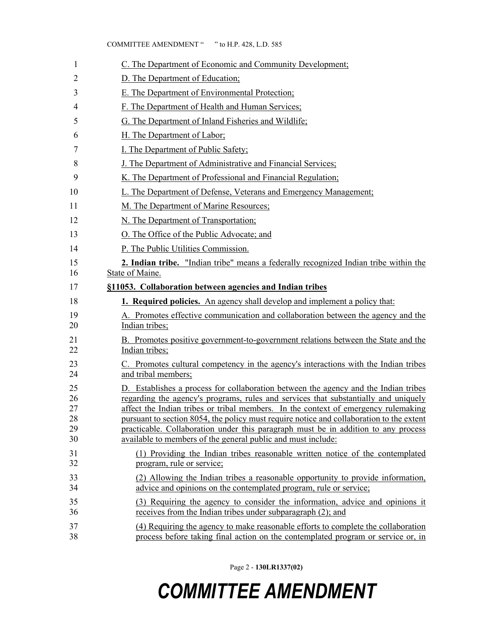| 1                                | C. The Department of Economic and Community Development;                                                                                                                                                                                                                                                                                                                                                                                                                                                           |
|----------------------------------|--------------------------------------------------------------------------------------------------------------------------------------------------------------------------------------------------------------------------------------------------------------------------------------------------------------------------------------------------------------------------------------------------------------------------------------------------------------------------------------------------------------------|
| 2                                | D. The Department of Education;                                                                                                                                                                                                                                                                                                                                                                                                                                                                                    |
| 3                                | E. The Department of Environmental Protection;                                                                                                                                                                                                                                                                                                                                                                                                                                                                     |
| 4                                | F. The Department of Health and Human Services;                                                                                                                                                                                                                                                                                                                                                                                                                                                                    |
| 5                                | G. The Department of Inland Fisheries and Wildlife;                                                                                                                                                                                                                                                                                                                                                                                                                                                                |
| 6                                | H. The Department of Labor;                                                                                                                                                                                                                                                                                                                                                                                                                                                                                        |
| 7                                | I. The Department of Public Safety;                                                                                                                                                                                                                                                                                                                                                                                                                                                                                |
| 8                                | J. The Department of Administrative and Financial Services;                                                                                                                                                                                                                                                                                                                                                                                                                                                        |
| 9                                | K. The Department of Professional and Financial Regulation;                                                                                                                                                                                                                                                                                                                                                                                                                                                        |
| 10                               | L. The Department of Defense, Veterans and Emergency Management;                                                                                                                                                                                                                                                                                                                                                                                                                                                   |
| 11                               | M. The Department of Marine Resources;                                                                                                                                                                                                                                                                                                                                                                                                                                                                             |
| 12                               | N. The Department of Transportation;                                                                                                                                                                                                                                                                                                                                                                                                                                                                               |
| 13                               | O. The Office of the Public Advocate; and                                                                                                                                                                                                                                                                                                                                                                                                                                                                          |
| 14                               | P. The Public Utilities Commission.                                                                                                                                                                                                                                                                                                                                                                                                                                                                                |
| 15                               | 2. Indian tribe. "Indian tribe" means a federally recognized Indian tribe within the                                                                                                                                                                                                                                                                                                                                                                                                                               |
| 16                               | State of Maine.                                                                                                                                                                                                                                                                                                                                                                                                                                                                                                    |
| 17                               | §11053. Collaboration between agencies and Indian tribes                                                                                                                                                                                                                                                                                                                                                                                                                                                           |
| 18                               | <b>1. Required policies.</b> An agency shall develop and implement a policy that:                                                                                                                                                                                                                                                                                                                                                                                                                                  |
| 19<br>20                         | A. Promotes effective communication and collaboration between the agency and the<br>Indian tribes;                                                                                                                                                                                                                                                                                                                                                                                                                 |
| 21<br>22                         | B. Promotes positive government-to-government relations between the State and the<br>Indian tribes:                                                                                                                                                                                                                                                                                                                                                                                                                |
| 23<br>24                         | C. Promotes cultural competency in the agency's interactions with the Indian tribes<br>and tribal members;                                                                                                                                                                                                                                                                                                                                                                                                         |
| 25<br>26<br>27<br>28<br>29<br>30 | D. Establishes a process for collaboration between the agency and the Indian tribes<br>regarding the agency's programs, rules and services that substantially and uniquely<br>affect the Indian tribes or tribal members. In the context of emergency rulemaking<br>pursuant to section 8054, the policy must require notice and collaboration to the extent<br>practicable. Collaboration under this paragraph must be in addition to any process<br>available to members of the general public and must include: |
| 31<br>32                         | (1) Providing the Indian tribes reasonable written notice of the contemplated<br>program, rule or service;                                                                                                                                                                                                                                                                                                                                                                                                         |
| 33<br>34                         | (2) Allowing the Indian tribes a reasonable opportunity to provide information,<br>advice and opinions on the contemplated program, rule or service;                                                                                                                                                                                                                                                                                                                                                               |
| 35<br>36                         | (3) Requiring the agency to consider the information, advice and opinions it<br>receives from the Indian tribes under subparagraph (2); and                                                                                                                                                                                                                                                                                                                                                                        |
| 37<br>38                         | (4) Requiring the agency to make reasonable efforts to complete the collaboration<br>process before taking final action on the contemplated program or service or, in                                                                                                                                                                                                                                                                                                                                              |

Page 2 - **130LR1337(02)**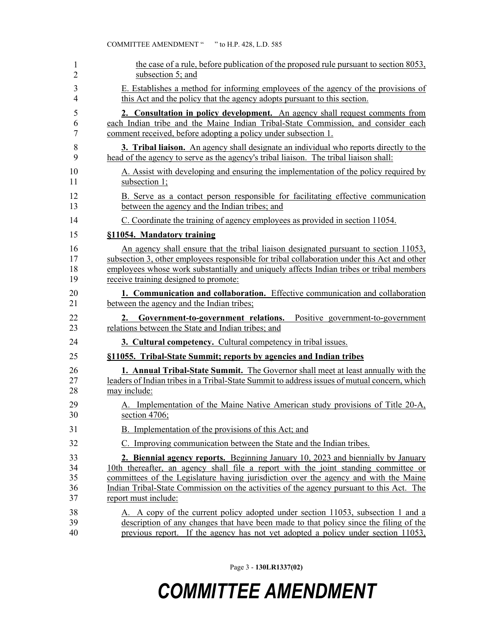|    | the case of a rule, before publication of the proposed rule pursuant to section 8053,<br>subsection 5; and                                                                                                                                                                                                                                                                          |
|----|-------------------------------------------------------------------------------------------------------------------------------------------------------------------------------------------------------------------------------------------------------------------------------------------------------------------------------------------------------------------------------------|
|    | E. Establishes a method for informing employees of the agency of the provisions of<br>this Act and the policy that the agency adopts pursuant to this section.                                                                                                                                                                                                                      |
|    | 2. Consultation in policy development. An agency shall request comments from<br>each Indian tribe and the Maine Indian Tribal-State Commission, and consider each<br>comment received, before adopting a policy under subsection 1.                                                                                                                                                 |
|    | 3. Tribal liaison. An agency shall designate an individual who reports directly to the<br>head of the agency to serve as the agency's tribal liaison. The tribal liaison shall:                                                                                                                                                                                                     |
|    | A. Assist with developing and ensuring the implementation of the policy required by<br>subsection 1;                                                                                                                                                                                                                                                                                |
|    | B. Serve as a contact person responsible for facilitating effective communication<br>between the agency and the Indian tribes; and                                                                                                                                                                                                                                                  |
|    | C. Coordinate the training of agency employees as provided in section 11054.                                                                                                                                                                                                                                                                                                        |
|    | §11054. Mandatory training                                                                                                                                                                                                                                                                                                                                                          |
|    | An agency shall ensure that the tribal liaison designated pursuant to section 11053,<br>subsection 3, other employees responsible for tribal collaboration under this Act and other<br>employees whose work substantially and uniquely affects Indian tribes or tribal members<br>receive training designed to promote:                                                             |
|    | 1. Communication and collaboration. Effective communication and collaboration<br>between the agency and the Indian tribes;                                                                                                                                                                                                                                                          |
| 2. | Government-to-government relations.<br>Positive government-to-government<br>relations between the State and Indian tribes; and                                                                                                                                                                                                                                                      |
|    | <b>3. Cultural competency.</b> Cultural competency in tribal issues.                                                                                                                                                                                                                                                                                                                |
|    | §11055. Tribal-State Summit; reports by agencies and Indian tribes                                                                                                                                                                                                                                                                                                                  |
|    | 1. Annual Tribal-State Summit. The Governor shall meet at least annually with the<br>leaders of Indian tribes in a Tribal-State Summit to address issues of mutual concern, which<br>may include:                                                                                                                                                                                   |
|    | A. Implementation of the Maine Native American study provisions of Title 20-A,<br>section $4706$ ;                                                                                                                                                                                                                                                                                  |
|    | B. Implementation of the provisions of this Act; and                                                                                                                                                                                                                                                                                                                                |
|    | C. Improving communication between the State and the Indian tribes.                                                                                                                                                                                                                                                                                                                 |
|    | 2. Biennial agency reports. Beginning January 10, 2023 and biennially by January<br>10th thereafter, an agency shall file a report with the joint standing committee or<br>committees of the Legislature having jurisdiction over the agency and with the Maine<br>Indian Tribal-State Commission on the activities of the agency pursuant to this Act. The<br>report must include: |
|    | A. A copy of the current policy adopted under section 11053, subsection 1 and a<br>description of any changes that have been made to that policy since the filing of the                                                                                                                                                                                                            |

COMMITTEE AMENDMENT " " to H.P. 428, L.D. 585

40 previous report. If the agency has not yet adopted a policy under section 11053,

Page 3 - **130LR1337(02)**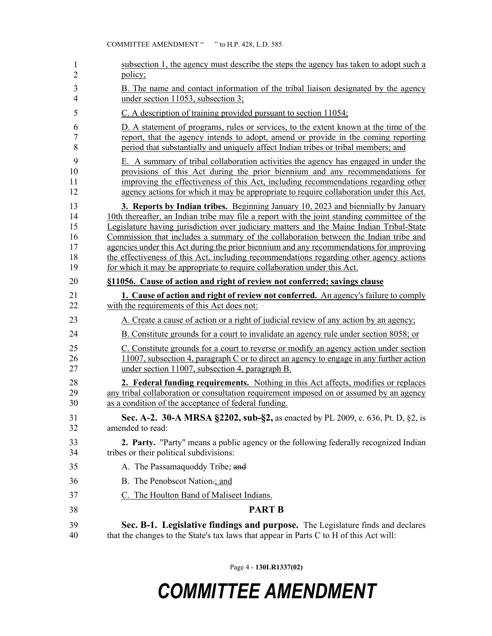| 1  | subsection 1, the agency must describe the steps the agency has taken to adopt such a       |
|----|---------------------------------------------------------------------------------------------|
| 2  | policy;                                                                                     |
| 3  | B. The name and contact information of the tribal liaison designated by the agency          |
| 4  | under section 11053, subsection 3;                                                          |
| 5  | $C.$ A description of training provided pursuant to section 11054;                          |
| 6  | D. A statement of programs, rules or services, to the extent known at the time of the       |
| 7  | report, that the agency intends to adopt, amend or provide in the coming reporting          |
| 8  | period that substantially and uniquely affect Indian tribes or tribal members; and          |
| 9  | E. A summary of tribal collaboration activities the agency has engaged in under the         |
| 10 | provisions of this Act during the prior biennium and any recommendations for                |
| 11 | improving the effectiveness of this Act, including recommendations regarding other          |
| 12 | agency actions for which it may be appropriate to require collaboration under this Act.     |
| 13 | 3. Reports by Indian tribes. Beginning January 10, 2023 and biennially by January           |
| 14 | 10th thereafter, an Indian tribe may file a report with the joint standing committee of the |
| 15 | Legislature having jurisdiction over judiciary matters and the Maine Indian Tribal-State    |
| 16 | Commission that includes a summary of the collaboration between the Indian tribe and        |
| 17 | agencies under this Act during the prior biennium and any recommendations for improving     |
| 18 | the effectiveness of this Act, including recommendations regarding other agency actions     |
| 19 | for which it may be appropriate to require collaboration under this Act.                    |
| 20 | §11056. Cause of action and right of review not conferred; savings clause                   |
| 21 | <b>1. Cause of action and right of review not conferred.</b> An agency's failure to comply  |
| 22 | with the requirements of this Act does not:                                                 |
| 23 | A. Create a cause of action or a right of judicial review of any action by an agency;       |
| 24 | B. Constitute grounds for a court to invalidate an agency rule under section 8058; or       |
| 25 | C. Constitute grounds for a court to reverse or modify an agency action under section       |
| 26 | 11007, subsection 4, paragraph C or to direct an agency to engage in any further action     |
| 27 | under section 11007, subsection 4, paragraph B.                                             |
| 28 | 2. Federal funding requirements. Nothing in this Act affects, modifies or replaces          |
| 29 | any tribal collaboration or consultation requirement imposed on or assumed by an agency     |
| 30 | as a condition of the acceptance of federal funding.                                        |
| 31 | Sec. A-2. 30-A MRSA §2202, sub-§2, as enacted by PL 2009, c. 636, Pt. D, §2, is             |
| 32 | amended to read:                                                                            |
| 33 | 2. Party. "Party" means a public agency or the following federally recognized Indian        |
| 34 | tribes or their political subdivisions:                                                     |
| 35 | A. The Passamaquoddy Tribe; and                                                             |
| 36 | B. The Penobscot Nation-; and                                                               |
| 37 | C. The Houlton Band of Maliseet Indians.                                                    |
| 38 | <b>PART B</b>                                                                               |
| 39 | Sec. B-1. Legislative findings and purpose. The Legislature finds and declares              |
| 40 | that the changes to the State's tax laws that appear in Parts C to H of this Act will:      |

Page 4 - **130LR1337(02)**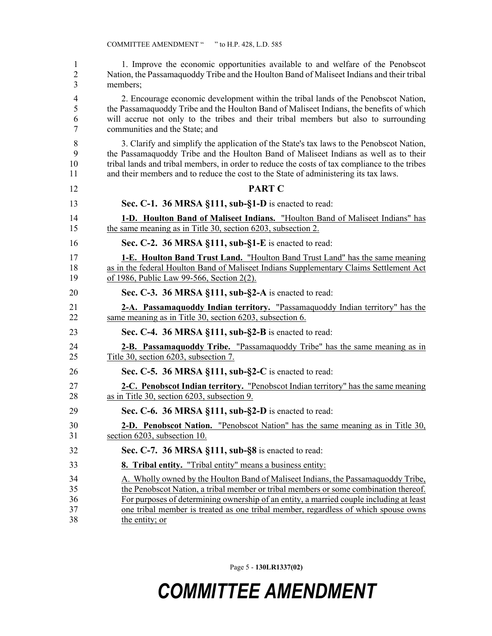| 1  | 1. Improve the economic opportunities available to and welfare of the Penobscot               |
|----|-----------------------------------------------------------------------------------------------|
| 2  | Nation, the Passamaguoddy Tribe and the Houlton Band of Maliseet Indians and their tribal     |
| 3  | members;                                                                                      |
| 4  | 2. Encourage economic development within the tribal lands of the Penobscot Nation,            |
| 5  | the Passamaquoddy Tribe and the Houlton Band of Maliseet Indians, the benefits of which       |
| 6  | will accrue not only to the tribes and their tribal members but also to surrounding           |
| 7  | communities and the State; and                                                                |
| 8  | 3. Clarify and simplify the application of the State's tax laws to the Penobscot Nation,      |
| 9  | the Passamaquoddy Tribe and the Houlton Band of Maliseet Indians as well as to their          |
| 10 | tribal lands and tribal members, in order to reduce the costs of tax compliance to the tribes |
| 11 | and their members and to reduce the cost to the State of administering its tax laws.          |
| 12 | <b>PART C</b>                                                                                 |
| 13 | Sec. C-1. 36 MRSA §111, sub-§1-D is enacted to read:                                          |
| 14 | 1-D. Houlton Band of Maliseet Indians. "Houlton Band of Maliseet Indians" has                 |
| 15 | the same meaning as in Title 30, section 6203, subsection 2.                                  |
| 16 | Sec. C-2. 36 MRSA §111, sub-§1-E is enacted to read:                                          |
| 17 | <b>1-E. Houlton Band Trust Land.</b> "Houlton Band Trust Land" has the same meaning           |
| 18 | as in the federal Houlton Band of Maliseet Indians Supplementary Claims Settlement Act        |
| 19 | of 1986, Public Law 99-566, Section 2(2).                                                     |
| 20 | Sec. C-3. 36 MRSA §111, sub-§2-A is enacted to read:                                          |
| 21 | 2-A. Passamaquoddy Indian territory. "Passamaquoddy Indian territory" has the                 |
| 22 | same meaning as in Title 30, section 6203, subsection 6.                                      |
| 23 | Sec. C-4. 36 MRSA §111, sub-§2-B is enacted to read:                                          |
| 24 | 2-B. Passamaquoddy Tribe. "Passamaquoddy Tribe" has the same meaning as in                    |
| 25 | Title 30, section 6203, subsection 7.                                                         |
| 26 | Sec. C-5. 36 MRSA §111, sub-§2-C is enacted to read:                                          |
| 27 | 2-C. Penobscot Indian territory. "Penobscot Indian territory" has the same meaning            |
| 28 | as in Title 30, section 6203, subsection 9.                                                   |
| 29 | Sec. C-6. 36 MRSA §111, sub-§2-D is enacted to read:                                          |
| 30 | 2-D. Penobscot Nation. "Penobscot Nation" has the same meaning as in Title 30,                |
| 31 | section 6203, subsection 10.                                                                  |
| 32 | Sec. C-7. 36 MRSA §111, sub-§8 is enacted to read:                                            |
| 33 | <b>8. Tribal entity.</b> "Tribal entity" means a business entity:                             |
| 34 | A. Wholly owned by the Houlton Band of Maliseet Indians, the Passamaguoddy Tribe,             |
| 35 | the Penobscot Nation, a tribal member or tribal members or some combination thereof.          |
| 36 | For purposes of determining ownership of an entity, a married couple including at least       |
| 37 | one tribal member is treated as one tribal member, regardless of which spouse owns            |

COMMITTEE AMENDMENT " " to H.P. 428, L.D. 585

38 the entity; or

Page 5 - **130LR1337(02)**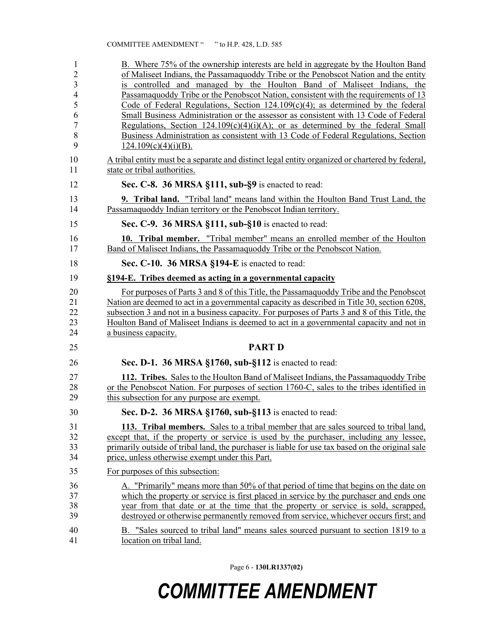| 1              | B. Where 75% of the ownership interests are held in aggregate by the Houlton Band                |
|----------------|--------------------------------------------------------------------------------------------------|
| $\overline{c}$ | of Maliseet Indians, the Passamaguoddy Tribe or the Penobscot Nation and the entity              |
| $\overline{3}$ | is controlled and managed by the Houlton Band of Maliseet Indians, the                           |
| $\overline{4}$ | Passamaquoddy Tribe or the Penobscot Nation, consistent with the requirements of 13              |
| 5              | Code of Federal Regulations, Section $124.109(c)(4)$ ; as determined by the federal              |
| 6              | Small Business Administration or the assessor as consistent with 13 Code of Federal              |
| $\overline{7}$ | Regulations, Section $124.109(c)(4)(i)(A)$ ; or as determined by the federal Small               |
| 8              | Business Administration as consistent with 13 Code of Federal Regulations, Section               |
| 9              | $124.109(c)(4)(i)(B)$ .                                                                          |
| 10             | A tribal entity must be a separate and distinct legal entity organized or chartered by federal,  |
| 11             | state or tribal authorities.                                                                     |
| 12             | Sec. C-8. 36 MRSA §111, sub-§9 is enacted to read:                                               |
| 13             | <b>9. Tribal land.</b> "Tribal land" means land within the Houlton Band Trust Land, the          |
| 14             | Passamaquoddy Indian territory or the Penobscot Indian territory.                                |
| 15             | Sec. C-9. 36 MRSA §111, sub-§10 is enacted to read:                                              |
| 16             | 10. Tribal member. "Tribal member" means an enrolled member of the Houlton                       |
| 17             | Band of Maliseet Indians, the Passamaguoddy Tribe or the Penobscot Nation.                       |
| 18             | Sec. C-10. 36 MRSA §194-E is enacted to read:                                                    |
| 19             | §194-E. Tribes deemed as acting in a governmental capacity                                       |
| 20             | For purposes of Parts 3 and 8 of this Title, the Passamaguoddy Tribe and the Penobscot           |
| 21             | Nation are deemed to act in a governmental capacity as described in Title 30, section 6208,      |
| 22             | subsection 3 and not in a business capacity. For purposes of Parts 3 and 8 of this Title, the    |
| 23             | Houlton Band of Maliseet Indians is deemed to act in a governmental capacity and not in          |
| 24             | a business capacity.                                                                             |
| 25             | <b>PART D</b>                                                                                    |
| 26             | Sec. D-1. 36 MRSA §1760, sub-§112 is enacted to read:                                            |
| 27             | 112. Tribes. Sales to the Houlton Band of Maliseet Indians, the Passamaguoddy Tribe              |
| 28             | or the Penobscot Nation. For purposes of section 1760-C, sales to the tribes identified in       |
| 29             | this subsection for any purpose are exempt.                                                      |
| 30             | Sec. D-2. 36 MRSA §1760, sub-§113 is enacted to read:                                            |
| 31             | 113. Tribal members. Sales to a tribal member that are sales sourced to tribal land,             |
| 32             | except that, if the property or service is used by the purchaser, including any lessee,          |
| 33             | primarily outside of tribal land, the purchaser is liable for use tax based on the original sale |
| 34             | price, unless otherwise exempt under this Part.                                                  |
| 35             | For purposes of this subsection:                                                                 |
| 36             | A. "Primarily" means more than 50% of that period of time that begins on the date on             |
| 37             | which the property or service is first placed in service by the purchaser and ends one           |
| 38             | year from that date or at the time that the property or service is sold, scrapped,               |
| 39             | destroyed or otherwise permanently removed from service, whichever occurs first; and             |
| 40             | B. "Sales sourced to tribal land" means sales sourced pursuant to section 1819 to a              |
| 41             | location on tribal land.                                                                         |

Page 6 - **130LR1337(02)**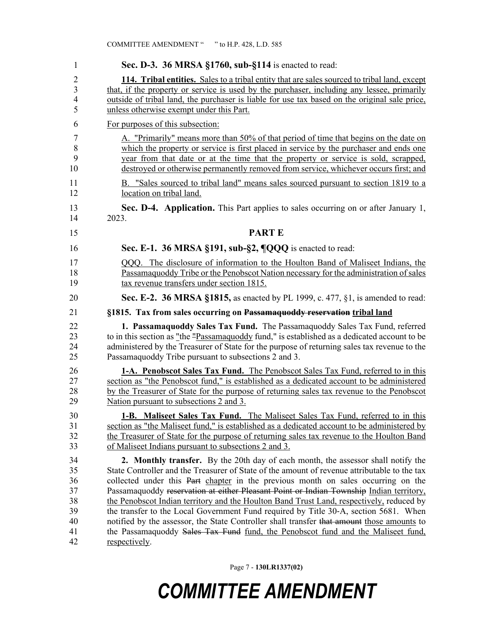| 1  | Sec. D-3. 36 MRSA §1760, sub-§114 is enacted to read:                                         |
|----|-----------------------------------------------------------------------------------------------|
| 2  | 114. Tribal entities. Sales to a tribal entity that are sales sourced to tribal land, except  |
| 3  | that, if the property or service is used by the purchaser, including any lessee, primarily    |
| 4  | outside of tribal land, the purchaser is liable for use tax based on the original sale price, |
| 5  | unless otherwise exempt under this Part.                                                      |
| 6  | For purposes of this subsection:                                                              |
| 7  | A. "Primarily" means more than 50% of that period of time that begins on the date on          |
| 8  | which the property or service is first placed in service by the purchaser and ends one        |
| 9  | year from that date or at the time that the property or service is sold, scrapped,            |
| 10 | destroyed or otherwise permanently removed from service, whichever occurs first; and          |
| 11 | B. "Sales sourced to tribal land" means sales sourced pursuant to section 1819 to a           |
| 12 | location on tribal land.                                                                      |
| 13 | Sec. D-4. Application. This Part applies to sales occurring on or after January 1,            |
| 14 | 2023.                                                                                         |
| 15 | <b>PARTE</b>                                                                                  |
| 16 | Sec. E-1. 36 MRSA §191, sub-§2, ¶QQQ is enacted to read:                                      |
| 17 | QQQ. The disclosure of information to the Houlton Band of Maliseet Indians, the               |
| 18 | Passamaguoddy Tribe or the Penobscot Nation necessary for the administration of sales         |
| 19 | tax revenue transfers under section 1815.                                                     |
| 20 | <b>Sec. E-2. 36 MRSA §1815,</b> as enacted by PL 1999, c. 477, §1, is amended to read:        |
| 21 | §1815. Tax from sales occurring on Passamaquoddy reservation tribal land                      |
| 22 | 1. Passamaquoddy Sales Tax Fund. The Passamaquoddy Sales Tax Fund, referred                   |
| 23 | to in this section as "the "Passamaguoddy fund," is established as a dedicated account to be  |
| 24 | administered by the Treasurer of State for the purpose of returning sales tax revenue to the  |
| 25 | Passamaquoddy Tribe pursuant to subsections 2 and 3.                                          |
| 26 | 1-A. Penobscot Sales Tax Fund. The Penobscot Sales Tax Fund, referred to in this              |
| 27 | section as "the Penobscot fund," is established as a dedicated account to be administered     |
| 28 | by the Treasurer of State for the purpose of returning sales tax revenue to the Penobscot     |
| 29 | Nation pursuant to subsections 2 and 3.                                                       |
| 30 | 1-B. Maliseet Sales Tax Fund. The Maliseet Sales Tax Fund, referred to in this                |
| 31 | section as "the Maliseet fund," is established as a dedicated account to be administered by   |
| 32 | the Treasurer of State for the purpose of returning sales tax revenue to the Houlton Band     |
| 33 | of Maliseet Indians pursuant to subsections 2 and 3.                                          |
| 34 | 2. Monthly transfer. By the 20th day of each month, the assessor shall notify the             |
| 35 | State Controller and the Treasurer of State of the amount of revenue attributable to the tax  |
| 36 | collected under this Part chapter in the previous month on sales occurring on the             |
| 37 | Passamaquoddy reservation at either Pleasant Point or Indian Township Indian territory,       |
| 38 | the Penobscot Indian territory and the Houlton Band Trust Land, respectively, reduced by      |
| 39 | the transfer to the Local Government Fund required by Title 30-A, section 5681. When          |
| 40 | notified by the assessor, the State Controller shall transfer that amount those amounts to    |
| 41 | the Passamaquoddy Sales Tax Fund fund, the Penobscot fund and the Maliseet fund,              |
| 42 | respectively.                                                                                 |

Page 7 - **130LR1337(02)**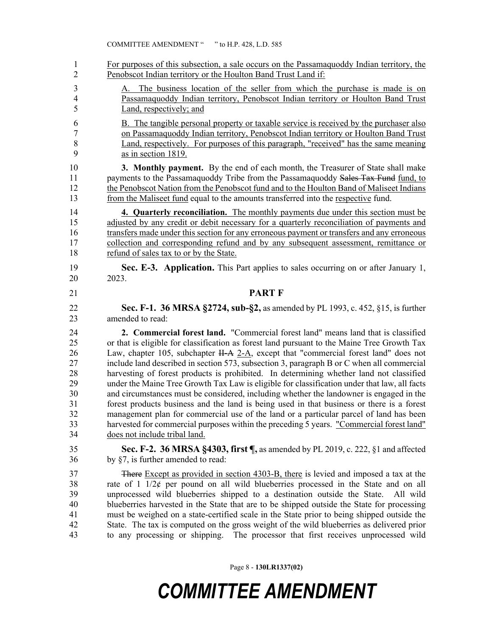1 For purposes of this subsection, a sale occurs on the Passamaquoddy Indian territory, the 2 Penobscot Indian territory or the Houlton Band Trust Land if:

- 3 A. The business location of the seller from which the purchase is made is on 4 Passamaquoddy Indian territory, Penobscot Indian territory or Houlton Band Trust 5 Land, respectively; and
- 6 B. The tangible personal property or taxable service is received by the purchaser also 7 on Passamaquoddy Indian territory, Penobscot Indian territory or Houlton Band Trust 8 Land, respectively. For purposes of this paragraph, "received" has the same meaning 9 as in section 1819.

10 **3. Monthly payment.** By the end of each month, the Treasurer of State shall make 11 payments to the Passamaquoddy Tribe from the Passamaquoddy Sales Tax Fund fund, to 12 the Penobscot Nation from the Penobscot fund and to the Houlton Band of Maliseet Indians 13 from the Maliseet fund equal to the amounts transferred into the respective fund.

14 **4. Quarterly reconciliation.** The monthly payments due under this section must be 15 adjusted by any credit or debit necessary for a quarterly reconciliation of payments and 16 transfers made under this section for any erroneous payment or transfers and any erroneous 17 collection and corresponding refund and by any subsequent assessment, remittance or 18 refund of sales tax to or by the State.

19 **Sec. E-3. Application.** This Part applies to sales occurring on or after January 1, 20 2023.

#### 21 **PART F**

22 **Sec. F-1. 36 MRSA §2724, sub-§2,** as amended by PL 1993, c. 452, §15, is further 23 amended to read:

24 **2. Commercial forest land.** "Commercial forest land" means land that is classified 25 or that is eligible for classification as forest land pursuant to the Maine Tree Growth Tax 26 Law, chapter 105, subchapter H-A 2-A, except that "commercial forest land" does not 27 include land described in section 573, subsection 3, paragraph B or C when all commercial 28 harvesting of forest products is prohibited. In determining whether land not classified 29 under the Maine Tree Growth Tax Law is eligible for classification under that law, all facts 30 and circumstances must be considered, including whether the landowner is engaged in the 31 forest products business and the land is being used in that business or there is a forest 32 management plan for commercial use of the land or a particular parcel of land has been 33 harvested for commercial purposes within the preceding 5 years. "Commercial forest land" 34 does not include tribal land.

35 **Sec. F-2. 36 MRSA §4303, first ¶,** as amended by PL 2019, c. 222, §1 and affected 36 by §7, is further amended to read:

37 There Except as provided in section 4303-B, there is levied and imposed a tax at the 38 rate of 1 1/2¢ per pound on all wild blueberries processed in the State and on all 39 unprocessed wild blueberries shipped to a destination outside the State. All wild 40 blueberries harvested in the State that are to be shipped outside the State for processing 41 must be weighed on a state-certified scale in the State prior to being shipped outside the 42 State. The tax is computed on the gross weight of the wild blueberries as delivered prior 43 to any processing or shipping. The processor that first receives unprocessed wild

Page 8 - **130LR1337(02)**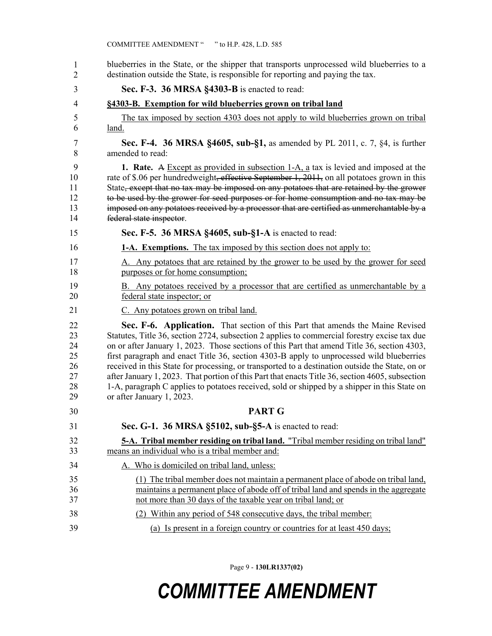| 1<br>$\overline{2}$                          | blueberries in the State, or the shipper that transports unprocessed wild blueberries to a<br>destination outside the State, is responsible for reporting and paying the tax.                                                                                                                                                                                                                                                                                                                                                                                                                                                                                                                                |
|----------------------------------------------|--------------------------------------------------------------------------------------------------------------------------------------------------------------------------------------------------------------------------------------------------------------------------------------------------------------------------------------------------------------------------------------------------------------------------------------------------------------------------------------------------------------------------------------------------------------------------------------------------------------------------------------------------------------------------------------------------------------|
| 3                                            | Sec. F-3. 36 MRSA §4303-B is enacted to read:                                                                                                                                                                                                                                                                                                                                                                                                                                                                                                                                                                                                                                                                |
| 4                                            | §4303-B. Exemption for wild blueberries grown on tribal land                                                                                                                                                                                                                                                                                                                                                                                                                                                                                                                                                                                                                                                 |
| 5<br>6                                       | The tax imposed by section 4303 does not apply to wild blueberries grown on tribal<br>land.                                                                                                                                                                                                                                                                                                                                                                                                                                                                                                                                                                                                                  |
| 7<br>8                                       | Sec. F-4. 36 MRSA §4605, sub-§1, as amended by PL 2011, c. 7, §4, is further<br>amended to read:                                                                                                                                                                                                                                                                                                                                                                                                                                                                                                                                                                                                             |
| 9<br>10<br>11<br>12<br>13<br>14              | 1. Rate. A Except as provided in subsection 1-A, a tax is levied and imposed at the<br>rate of \$.06 per hundredweight, effective September 1, 2011, on all potatoes grown in this<br>State, except that no tax may be imposed on any potatoes that are retained by the grower<br>to be used by the grower for seed purposes or for home consumption and no tax may be<br>imposed on any potatoes received by a processor that are certified as unmerchantable by a<br>federal state inspector.                                                                                                                                                                                                              |
| 15                                           | Sec. F-5. 36 MRSA §4605, sub-§1-A is enacted to read:                                                                                                                                                                                                                                                                                                                                                                                                                                                                                                                                                                                                                                                        |
| 16                                           | <b>1-A. Exemptions.</b> The tax imposed by this section does not apply to:                                                                                                                                                                                                                                                                                                                                                                                                                                                                                                                                                                                                                                   |
| 17<br>18                                     | A. Any potatoes that are retained by the grower to be used by the grower for seed<br>purposes or for home consumption;                                                                                                                                                                                                                                                                                                                                                                                                                                                                                                                                                                                       |
| 19<br>20                                     | B. Any potatoes received by a processor that are certified as unmerchantable by a<br>federal state inspector; or                                                                                                                                                                                                                                                                                                                                                                                                                                                                                                                                                                                             |
| 21                                           | C. Any potatoes grown on tribal land.                                                                                                                                                                                                                                                                                                                                                                                                                                                                                                                                                                                                                                                                        |
| 22<br>23<br>24<br>25<br>26<br>27<br>28<br>29 | Sec. F-6. Application. That section of this Part that amends the Maine Revised<br>Statutes, Title 36, section 2724, subsection 2 applies to commercial forestry excise tax due<br>on or after January 1, 2023. Those sections of this Part that amend Title 36, section 4303,<br>first paragraph and enact Title 36, section 4303-B apply to unprocessed wild blueberries<br>received in this State for processing, or transported to a destination outside the State, on or<br>after January 1, 2023. That portion of this Part that enacts Title 36, section 4605, subsection<br>1-A, paragraph C applies to potatoes received, sold or shipped by a shipper in this State on<br>or after January 1, 2023. |
| 30                                           | <b>PART G</b>                                                                                                                                                                                                                                                                                                                                                                                                                                                                                                                                                                                                                                                                                                |
| 31                                           | Sec. G-1. 36 MRSA §5102, sub-§5-A is enacted to read:                                                                                                                                                                                                                                                                                                                                                                                                                                                                                                                                                                                                                                                        |
| 32<br>33                                     | <b>5-A.</b> Tribal member residing on tribal land. "Tribal member residing on tribal land"<br>means an individual who is a tribal member and:                                                                                                                                                                                                                                                                                                                                                                                                                                                                                                                                                                |
| 34                                           | A. Who is domiciled on tribal land, unless:                                                                                                                                                                                                                                                                                                                                                                                                                                                                                                                                                                                                                                                                  |
| 35<br>36<br>37                               | (1) The tribal member does not maintain a permanent place of abode on tribal land,<br>maintains a permanent place of abode off of tribal land and spends in the aggregate<br>not more than 30 days of the taxable year on tribal land; or                                                                                                                                                                                                                                                                                                                                                                                                                                                                    |
| 38                                           | (2) Within any period of 548 consecutive days, the tribal member:                                                                                                                                                                                                                                                                                                                                                                                                                                                                                                                                                                                                                                            |
| 39                                           | (a) Is present in a foreign country or countries for at least 450 days;                                                                                                                                                                                                                                                                                                                                                                                                                                                                                                                                                                                                                                      |

Page 9 - **130LR1337(02)**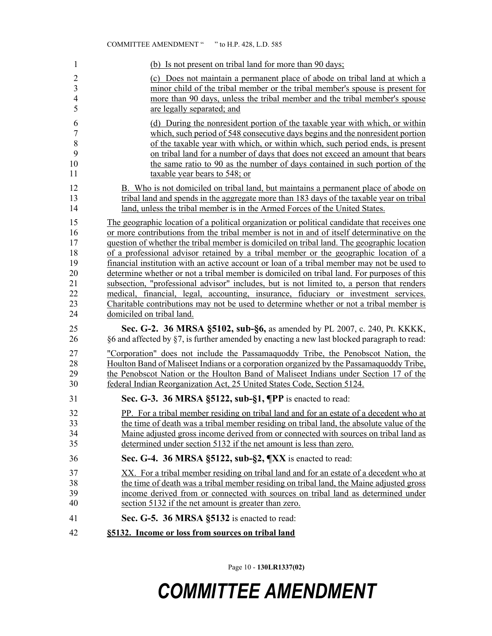#### COMMITTEE AMENDMENT " " to H.P. 428, L.D. 585

| 1              | (b) Is not present on tribal land for more than 90 days;                                     |
|----------------|----------------------------------------------------------------------------------------------|
| $\overline{2}$ | (c) Does not maintain a permanent place of abode on tribal land at which a                   |
| 3              | minor child of the tribal member or the tribal member's spouse is present for                |
| $\overline{4}$ | more than 90 days, unless the tribal member and the tribal member's spouse                   |
| 5              | are legally separated; and                                                                   |
| 6              | (d) During the nonresident portion of the taxable year with which, or within                 |
| $\overline{7}$ | which, such period of 548 consecutive days begins and the nonresident portion                |
| 8              | of the taxable year with which, or within which, such period ends, is present                |
| 9              | on tribal land for a number of days that does not exceed an amount that bears                |
| 10             | the same ratio to 90 as the number of days contained in such portion of the                  |
| 11             | taxable year bears to 548; or                                                                |
| 12             | B. Who is not domiciled on tribal land, but maintains a permanent place of abode on          |
| 13             | tribal land and spends in the aggregate more than 183 days of the taxable year on tribal     |
| 14             | land, unless the tribal member is in the Armed Forces of the United States.                  |
| 15             | The geographic location of a political organization or political candidate that receives one |
| 16             | or more contributions from the tribal member is not in and of itself determinative on the    |
| 17             | question of whether the tribal member is domiciled on tribal land. The geographic location   |
| 18             | of a professional advisor retained by a tribal member or the geographic location of a        |
| 19             | financial institution with an active account or loan of a tribal member may not be used to   |
| 20             | determine whether or not a tribal member is domiciled on tribal land. For purposes of this   |
| 21             | subsection, "professional advisor" includes, but is not limited to, a person that renders    |
| 22             | medical, financial, legal, accounting, insurance, fiduciary or investment services.          |
| 23             | Charitable contributions may not be used to determine whether or not a tribal member is      |
| 24             | domiciled on tribal land.                                                                    |
| 25             | Sec. G-2. 36 MRSA §5102, sub-§6, as amended by PL 2007, c. 240, Pt. KKKK,                    |
| 26             | §6 and affected by §7, is further amended by enacting a new last blocked paragraph to read:  |
| 27             | "Corporation" does not include the Passamaguoddy Tribe, the Penobscot Nation, the            |
| 28             | Houlton Band of Maliseet Indians or a corporation organized by the Passamaguoddy Tribe,      |
| 29             | the Penobscot Nation or the Houlton Band of Maliseet Indians under Section 17 of the         |
| 30             | federal Indian Reorganization Act, 25 United States Code, Section 5124.                      |
| 31             | Sec. G-3. 36 MRSA §5122, sub-§1, ¶PP is enacted to read:                                     |
| 32             | PP. For a tribal member residing on tribal land and for an estate of a decedent who at       |
| 33             | the time of death was a tribal member residing on tribal land, the absolute value of the     |
| 34             | Maine adjusted gross income derived from or connected with sources on tribal land as         |
| 35             | determined under section 5132 if the net amount is less than zero.                           |
| 36             | Sec. G-4. 36 MRSA §5122, sub-§2, ¶XX is enacted to read:                                     |
| 37             | XX. For a tribal member residing on tribal land and for an estate of a decedent who at       |
| 38             | the time of death was a tribal member residing on tribal land, the Maine adjusted gross      |
| 39             | income derived from or connected with sources on tribal land as determined under             |
| 40             | section 5132 if the net amount is greater than zero.                                         |
| 41             | Sec. G-5. 36 MRSA §5132 is enacted to read:                                                  |
| 42             | §5132. Income or loss from sources on tribal land                                            |

Page 10 - **130LR1337(02)**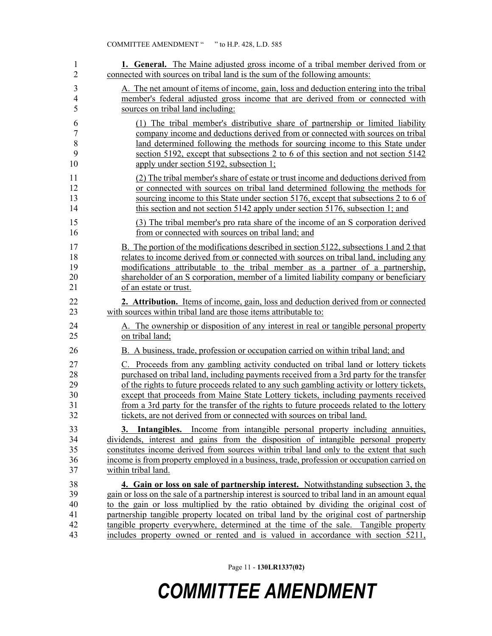| 1              | <b>1. General.</b> The Maine adjusted gross income of a tribal member derived from or           |
|----------------|-------------------------------------------------------------------------------------------------|
| $\overline{2}$ | connected with sources on tribal land is the sum of the following amounts:                      |
| 3              | A. The net amount of items of income, gain, loss and deduction entering into the tribal         |
| $\overline{4}$ | member's federal adjusted gross income that are derived from or connected with                  |
| 5              | sources on tribal land including:                                                               |
| 6              | (1) The tribal member's distributive share of partnership or limited liability                  |
| $\sqrt{ }$     | company income and deductions derived from or connected with sources on tribal                  |
| 8              | land determined following the methods for sourcing income to this State under                   |
| 9              | section 5192, except that subsections 2 to 6 of this section and not section 5142               |
| 10             | apply under section 5192, subsection 1;                                                         |
| 11             | (2) The tribal member's share of estate or trust income and deductions derived from             |
| 12             | or connected with sources on tribal land determined following the methods for                   |
| 13             | sourcing income to this State under section 5176, except that subsections 2 to 6 of             |
| 14             | this section and not section 5142 apply under section 5176, subsection 1; and                   |
| 15             | (3) The tribal member's pro rata share of the income of an S corporation derived                |
| 16             | from or connected with sources on tribal land; and                                              |
| 17             | B. The portion of the modifications described in section 5122, subsections 1 and 2 that         |
| 18             | relates to income derived from or connected with sources on tribal land, including any          |
| 19             | modifications attributable to the tribal member as a partner of a partnership,                  |
| 20             | shareholder of an S corporation, member of a limited liability company or beneficiary           |
| 21             | of an estate or trust.                                                                          |
| 22             | <b>2. Attribution.</b> Items of income, gain, loss and deduction derived from or connected      |
| 23             | with sources within tribal land are those items attributable to:                                |
| 24             | A. The ownership or disposition of any interest in real or tangible personal property           |
| 25             | on tribal land;                                                                                 |
| 26             | B. A business, trade, profession or occupation carried on within tribal land; and               |
| 27             | C. Proceeds from any gambling activity conducted on tribal land or lottery tickets              |
| 28             | purchased on tribal land, including payments received from a 3rd party for the transfer         |
| 29             | of the rights to future proceeds related to any such gambling activity or lottery tickets,      |
| 30             | except that proceeds from Maine State Lottery tickets, including payments received              |
| 31             | from a 3rd party for the transfer of the rights to future proceeds related to the lottery       |
| 32             | tickets, are not derived from or connected with sources on tribal land.                         |
| 33             | 3. Intangibles. Income from intangible personal property including annuities,                   |
| 34             | dividends, interest and gains from the disposition of intangible personal property              |
| 35             | constitutes income derived from sources within tribal land only to the extent that such         |
| 36             | income is from property employed in a business, trade, profession or occupation carried on      |
| 37             | within tribal land.                                                                             |
| 38             | 4. Gain or loss on sale of partnership interest. Notwithstanding subsection 3, the              |
| 39             | gain or loss on the sale of a partnership interest is sourced to tribal land in an amount equal |
| 40             | to the gain or loss multiplied by the ratio obtained by dividing the original cost of           |
| 41             | partnership tangible property located on tribal land by the original cost of partnership        |
| 42             | tangible property everywhere, determined at the time of the sale. Tangible property             |
| 43             | includes property owned or rented and is valued in accordance with section 5211,                |

Page 11 - **130LR1337(02)**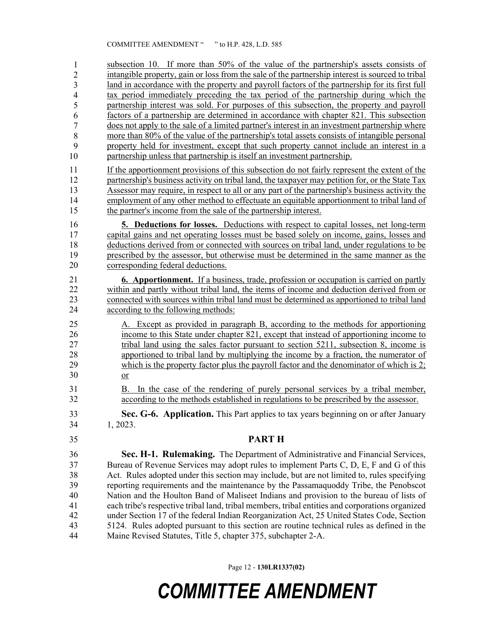subsection 10. If more than 50% of the value of the partnership's assets consists of intangible property, gain or loss from the sale of the partnership interest is sourced to tribal land in accordance with the property and payroll factors of the partnership for its first full tax period immediately preceding the tax period of the partnership during which the partnership interest was sold. For purposes of this subsection, the property and payroll factors of a partnership are determined in accordance with chapter 821. This subsection 50 does not apply to the sale of a limited partner's interest in an investment partnership where more than 80% of the value of the partnership's total assets consists of intangible personal property held for investment, except that such property cannot include an interest in a partnership unless that partnership is itself an investment partnership. 11 If the apportionment provisions of this subsection do not fairly represent the extent of the 12 partnership's business activity on tribal land, the taxpayer may petition for, or the State Tax 13 Assessor may require, in respect to all or any part of the partnership's business activity the 14 employment of any other method to effectuate an equitable apportionment to tribal land of 15 the partner's income from the sale of the partnership interest. 16 **5. Deductions for losses.** Deductions with respect to capital losses, net long-term 17 capital gains and net operating losses must be based solely on income, gains, losses and 18 deductions derived from or connected with sources on tribal land, under regulations to be 19 prescribed by the assessor, but otherwise must be determined in the same manner as the 20 corresponding federal deductions. 21 **6. Apportionment.** If a business, trade, profession or occupation is carried on partly 22 within and partly without tribal land, the items of income and deduction derived from or 23 connected with sources within tribal land must be determined as apportioned to tribal land<br>24 ccording to the following methods: according to the following methods: 25 A. Except as provided in paragraph B, according to the methods for apportioning 26 income to this State under chapter 821, except that instead of apportioning income to 27 tribal land using the sales factor pursuant to section 5211, subsection 8, income is 28 apportioned to tribal land by multiplying the income by a fraction, the numerator of 29 which is the property factor plus the payroll factor and the denominator of which is 2; 30 or 31 B. In the case of the rendering of purely personal services by a tribal member, 32 according to the methods established in regulations to be prescribed by the assessor. 33 **Sec. G-6. Application.** This Part applies to tax years beginning on or after January 34 1, 2023. 35 **PART H** 36 **Sec. H-1. Rulemaking.** The Department of Administrative and Financial Services, 37 Bureau of Revenue Services may adopt rules to implement Parts C, D, E, F and G of this 38 Act. Rules adopted under this section may include, but are not limited to, rules specifying 39 reporting requirements and the maintenance by the Passamaquoddy Tribe, the Penobscot 40 Nation and the Houlton Band of Maliseet Indians and provision to the bureau of lists of 41 each tribe's respective tribal land, tribal members, tribal entities and corporations organized 42 under Section 17 of the federal Indian Reorganization Act, 25 United States Code, Section 43 5124. Rules adopted pursuant to this section are routine technical rules as defined in the 44 Maine Revised Statutes, Title 5, chapter 375, subchapter 2-A. 1 2 3 4 5 6 7 8 9 10

Page 12 - **130LR1337(02)**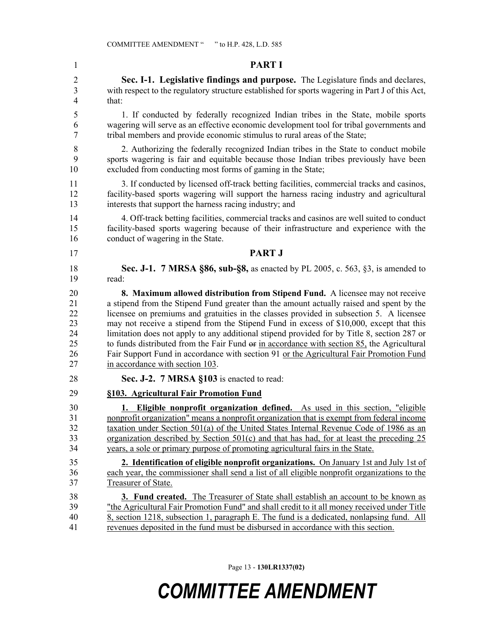1 **PART I** 2 **Sec. I-1. Legislative findings and purpose.** The Legislature finds and declares, 3 with respect to the regulatory structure established for sports wagering in Part J of this Act, 4 that: 5 1. If conducted by federally recognized Indian tribes in the State, mobile sports 6 wagering will serve as an effective economic development tool for tribal governments and 7 tribal members and provide economic stimulus to rural areas of the State; 8 2. Authorizing the federally recognized Indian tribes in the State to conduct mobile 9 sports wagering is fair and equitable because those Indian tribes previously have been 10 excluded from conducting most forms of gaming in the State; 11 3. If conducted by licensed off-track betting facilities, commercial tracks and casinos, 12 facility-based sports wagering will support the harness racing industry and agricultural 13 interests that support the harness racing industry; and 14 4. Off-track betting facilities, commercial tracks and casinos are well suited to conduct 15 facility-based sports wagering because of their infrastructure and experience with the 16 conduct of wagering in the State. 17 **PART J** 18 **Sec. J-1. 7 MRSA §86, sub-§8,** as enacted by PL 2005, c. 563, §3, is amended to 19 read: 20 **8. Maximum allowed distribution from Stipend Fund.** A licensee may not receive 21 a stipend from the Stipend Fund greater than the amount actually raised and spent by the 22 licensee on premiums and gratuities in the classes provided in subsection 5. A licensee 23 may not receive a stipend from the Stipend Fund in excess of \$10,000, except that this 24 limitation does not apply to any additional stipend provided for by Title 8, section 287 or 25 to funds distributed from the Fair Fund or in accordance with section 85, the Agricultural 26 Fair Support Fund in accordance with section 91 or the Agricultural Fair Promotion Fund 27 in accordance with section 103. 28 **Sec. J-2. 7 MRSA §103** is enacted to read: 29 **§103. Agricultural Fair Promotion Fund** 30 **1. Eligible nonprofit organization defined.** As used in this section, "eligible 31 nonprofit organization" means a nonprofit organization that is exempt from federal income 32 taxation under Section 501(a) of the United States Internal Revenue Code of 1986 as an 33 organization described by Section 501(c) and that has had, for at least the preceding 25 34 years, a sole or primary purpose of promoting agricultural fairs in the State. 35 **2. Identification of eligible nonprofit organizations.** On January 1st and July 1st of 36 each year, the commissioner shall send a list of all eligible nonprofit organizations to the 37 Treasurer of State. 38 **3. Fund created.** The Treasurer of State shall establish an account to be known as 39 "the Agricultural Fair Promotion Fund" and shall credit to it all money received under Title 40 8, section 1218, subsection 1, paragraph E. The fund is a dedicated, nonlapsing fund. All 41 revenues deposited in the fund must be disbursed in accordance with this section.

Page 13 - **130LR1337(02)**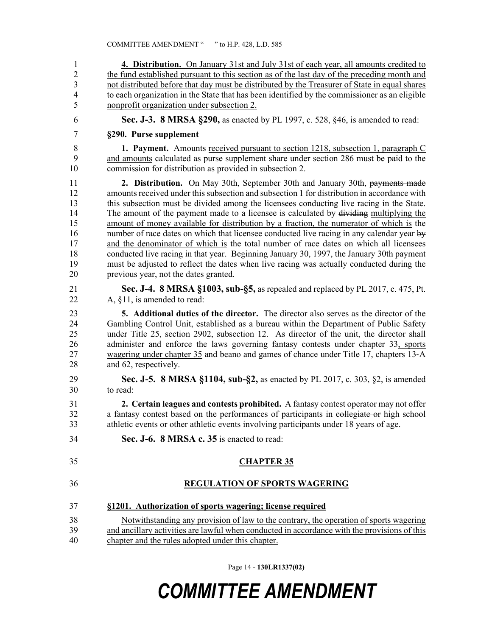1 **4. Distribution.** On January 31st and July 31st of each year, all amounts credited to 2 the fund established pursuant to this section as of the last day of the preceding month and 3 not distributed before that day must be distributed by the Treasurer of State in equal shares 4 to each organization in the State that has been identified by the commissioner as an eligible 5 nonprofit organization under subsection 2. 6 **Sec. J-3. 8 MRSA §290,** as enacted by PL 1997, c. 528, §46, is amended to read: 7 **§290. Purse supplement** 8 **1. Payment.** Amounts received pursuant to section 1218, subsection 1, paragraph C 9 and amounts calculated as purse supplement share under section 286 must be paid to the 10 commission for distribution as provided in subsection 2. 11 **2. Distribution.** On May 30th, September 30th and January 30th, payments made 12 amounts received under this subsection and subsection 1 for distribution in accordance with 13 this subsection must be divided among the licensees conducting live racing in the State. 14 The amount of the payment made to a licensee is calculated by dividing multiplying the 15 amount of money available for distribution by a fraction, the numerator of which is the 16 number of race dates on which that licensee conducted live racing in any calendar year by 17 and the denominator of which is the total number of race dates on which all licensees 18 conducted live racing in that year. Beginning January 30, 1997, the January 30th payment 19 must be adjusted to reflect the dates when live racing was actually conducted during the 20 previous year, not the dates granted. 21 **Sec. J-4. 8 MRSA §1003, sub-§5,** as repealed and replaced by PL 2017, c. 475, Pt. 22 A, §11, is amended to read: 23 **5. Additional duties of the director.** The director also serves as the director of the 24 Gambling Control Unit, established as a bureau within the Department of Public Safety 25 under Title 25, section 2902, subsection 12. As director of the unit, the director shall 26 administer and enforce the laws governing fantasy contests under chapter 33, sports 27 wagering under chapter 35 and beano and games of chance under Title 17, chapters 13‑A 28 and 62, respectively. 29 **Sec. J-5. 8 MRSA §1104, sub-§2,** as enacted by PL 2017, c. 303, §2, is amended 30 to read: 31 **2. Certain leagues and contests prohibited.** A fantasy contest operator may not offer 32 a fantasy contest based on the performances of participants in collegiate or high school 33 athletic events or other athletic events involving participants under 18 years of age. 34 **Sec. J-6. 8 MRSA c. 35** is enacted to read: 35 **CHAPTER 35** 36 **REGULATION OF SPORTS WAGERING** 37 **§1201. Authorization of sports wagering; license required** 38 Notwithstanding any provision of law to the contrary, the operation of sports wagering 39 and ancillary activities are lawful when conducted in accordance with the provisions of this 40 chapter and the rules adopted under this chapter.

Page 14 - **130LR1337(02)**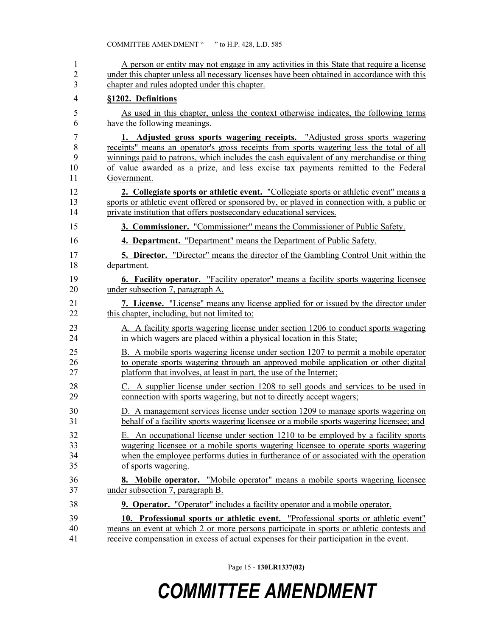| $\mathbf{1}$   | A person or entity may not engage in any activities in this State that require a license    |
|----------------|---------------------------------------------------------------------------------------------|
| $\overline{2}$ | under this chapter unless all necessary licenses have been obtained in accordance with this |
| 3              | chapter and rules adopted under this chapter.                                               |
| $\overline{4}$ | §1202. Definitions                                                                          |
| 5              | As used in this chapter, unless the context otherwise indicates, the following terms        |
| 6              | have the following meanings.                                                                |
| 7              | 1. Adjusted gross sports wagering receipts. "Adjusted gross sports wagering                 |
| 8              | receipts" means an operator's gross receipts from sports wagering less the total of all     |
| 9              | winnings paid to patrons, which includes the cash equivalent of any merchandise or thing    |
| 10             | of value awarded as a prize, and less excise tax payments remitted to the Federal           |
| 11             | Government.                                                                                 |
| 12             | 2. Collegiate sports or athletic event. "Collegiate sports or athletic event" means a       |
| 13             | sports or athletic event offered or sponsored by, or played in connection with, a public or |
| 14             | private institution that offers postsecondary educational services.                         |
| 15             | 3. Commissioner. "Commissioner" means the Commissioner of Public Safety.                    |
| 16             | 4. Department. "Department" means the Department of Public Safety.                          |
| 17             | <b>5. Director.</b> "Director" means the director of the Gambling Control Unit within the   |
| 18             | department.                                                                                 |
| 19             | 6. Facility operator. "Facility operator" means a facility sports wagering licensee         |
| 20             | under subsection 7, paragraph A.                                                            |
| 21             | 7. License. "License" means any license applied for or issued by the director under         |
| 22             | this chapter, including, but not limited to:                                                |
| 23             | A. A facility sports wagering license under section 1206 to conduct sports wagering         |
| 24             | in which wagers are placed within a physical location in this State;                        |
| 25             | B. A mobile sports wagering license under section 1207 to permit a mobile operator          |
| 26             | to operate sports wagering through an approved mobile application or other digital          |
| 27             | platform that involves, at least in part, the use of the Internet;                          |
| 28             | C. A supplier license under section 1208 to sell goods and services to be used in           |
| 29             | connection with sports wagering, but not to directly accept wagers;                         |
| 30             | D. A management services license under section 1209 to manage sports wagering on            |
| 31             | behalf of a facility sports wagering licensee or a mobile sports wagering licensee; and     |
| 32             | E. An occupational license under section 1210 to be employed by a facility sports           |
| 33             | wagering licensee or a mobile sports wagering licensee to operate sports wagering           |
| 34             | when the employee performs duties in furtherance of or associated with the operation        |
| 35             | of sports wagering.                                                                         |
| 36             | <b>8. Mobile operator.</b> "Mobile operator" means a mobile sports wagering licensee        |
| 37             | under subsection 7, paragraph B.                                                            |
| 38             | <b>9. Operator.</b> "Operator" includes a facility operator and a mobile operator.          |
| 39             | 10. Professional sports or athletic event. "Professional sports or athletic event"          |
| 40             | means an event at which 2 or more persons participate in sports or athletic contests and    |
| 41             | receive compensation in excess of actual expenses for their participation in the event.     |

Page 15 - **130LR1337(02)**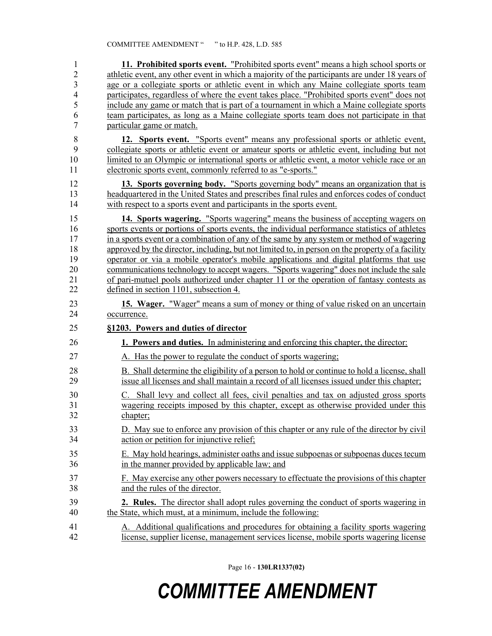| $\mathbf{1}$            | 11. Prohibited sports event. "Prohibited sports event" means a high school sports or                                                                                                     |
|-------------------------|------------------------------------------------------------------------------------------------------------------------------------------------------------------------------------------|
| $\overline{2}$          | athletic event, any other event in which a majority of the participants are under 18 years of                                                                                            |
| $\overline{\mathbf{3}}$ | age or a collegiate sports or athletic event in which any Maine collegiate sports team                                                                                                   |
| $\overline{4}$          | participates, regardless of where the event takes place. "Prohibited sports event" does not                                                                                              |
| 5                       | include any game or match that is part of a tournament in which a Maine collegiate sports                                                                                                |
| 6                       | team participates, as long as a Maine collegiate sports team does not participate in that                                                                                                |
| $\overline{7}$          | particular game or match.                                                                                                                                                                |
| 8<br>9                  | 12. Sports event. "Sports event" means any professional sports or athletic event,<br>collegiate sports or athletic event or amateur sports or athletic event, including but not          |
| 10                      | limited to an Olympic or international sports or athletic event, a motor vehicle race or an                                                                                              |
| 11                      | electronic sports event, commonly referred to as "e-sports."                                                                                                                             |
| 12                      | 13. Sports governing body. "Sports governing body" means an organization that is                                                                                                         |
| 13<br>14                | headquartered in the United States and prescribes final rules and enforces codes of conduct<br>with respect to a sports event and participants in the sports event.                      |
|                         |                                                                                                                                                                                          |
| 15<br>16                | 14. Sports wagering. "Sports wagering" means the business of accepting wagers on<br>sports events or portions of sports events, the individual performance statistics of athletes        |
| 17                      | in a sports event or a combination of any of the same by any system or method of wagering                                                                                                |
| 18                      | approved by the director, including, but not limited to, in person on the property of a facility                                                                                         |
| 19                      | operator or via a mobile operator's mobile applications and digital platforms that use                                                                                                   |
| 20                      | communications technology to accept wagers. "Sports wagering" does not include the sale                                                                                                  |
| 21                      | of pari-mutuel pools authorized under chapter 11 or the operation of fantasy contests as                                                                                                 |
| 22                      | defined in section 1101, subsection 4.                                                                                                                                                   |
|                         |                                                                                                                                                                                          |
| 23<br>24                | 15. Wager. "Wager" means a sum of money or thing of value risked on an uncertain<br>occurrence.                                                                                          |
| 25                      | §1203. Powers and duties of director                                                                                                                                                     |
| 26                      | 1. Powers and duties. In administering and enforcing this chapter, the director:                                                                                                         |
| 27                      | A. Has the power to regulate the conduct of sports wagering;                                                                                                                             |
| 28<br>29                | B. Shall determine the eligibility of a person to hold or continue to hold a license, shall<br>issue all licenses and shall maintain a record of all licenses issued under this chapter; |
| 30                      | C. Shall levy and collect all fees, civil penalties and tax on adjusted gross sports                                                                                                     |
| 31                      | wagering receipts imposed by this chapter, except as otherwise provided under this                                                                                                       |
| 32                      | chapter;                                                                                                                                                                                 |
| 33                      | D. May sue to enforce any provision of this chapter or any rule of the director by civil                                                                                                 |
| 34                      | action or petition for injunctive relief;                                                                                                                                                |
| 35<br>36                | E. May hold hearings, administer oaths and issue subpoenas or subpoenas duces tecum<br>in the manner provided by applicable law; and                                                     |
| 37                      |                                                                                                                                                                                          |
|                         |                                                                                                                                                                                          |
| 38                      | F. May exercise any other powers necessary to effectuate the provisions of this chapter<br>and the rules of the director.                                                                |
| 39                      |                                                                                                                                                                                          |
| 40                      | 2. Rules. The director shall adopt rules governing the conduct of sports wagering in<br>the State, which must, at a minimum, include the following:                                      |
| 41                      | A. Additional qualifications and procedures for obtaining a facility sports wagering                                                                                                     |

Page 16 - **130LR1337(02)**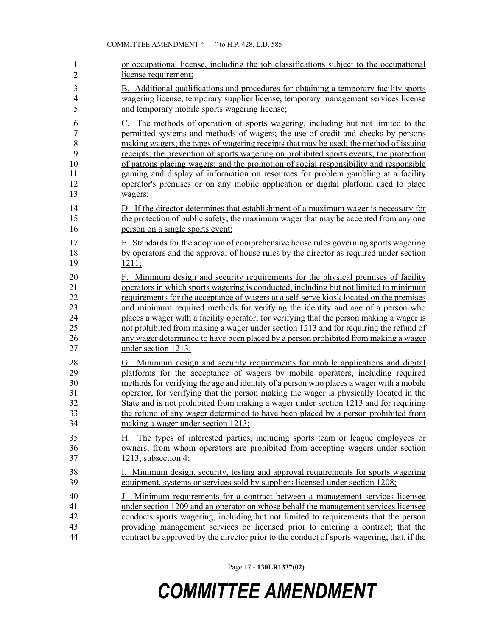| $\mathbf{1}$             | or occupational license, including the job classifications subject to the occupational     |
|--------------------------|--------------------------------------------------------------------------------------------|
| $\overline{2}$           | license requirement;                                                                       |
| $\mathfrak{Z}$           | B. Additional qualifications and procedures for obtaining a temporary facility sports      |
| $\overline{\mathcal{A}}$ | wagering license, temporary supplier license, temporary management services license        |
| 5                        | and temporary mobile sports wagering license;                                              |
| 6                        | C. The methods of operation of sports wagering, including but not limited to the           |
| $\overline{7}$           | permitted systems and methods of wagers; the use of credit and checks by persons           |
| 8                        | making wagers; the types of wagering receipts that may be used; the method of issuing      |
| 9                        | receipts; the prevention of sports wagering on prohibited sports events; the protection    |
| 10                       | of patrons placing wagers; and the promotion of social responsibility and responsible      |
| 11                       | gaming and display of information on resources for problem gambling at a facility          |
| 12                       | operator's premises or on any mobile application or digital platform used to place         |
| 13                       | wagers;                                                                                    |
| 14                       | D. If the director determines that establishment of a maximum wager is necessary for       |
| 15                       | the protection of public safety, the maximum wager that may be accepted from any one       |
| 16                       | person on a single sports event;                                                           |
| 17                       | E. Standards for the adoption of comprehensive house rules governing sports wagering       |
| 18                       | by operators and the approval of house rules by the director as required under section     |
| 19                       | 1211;                                                                                      |
| 20                       | F. Minimum design and security requirements for the physical premises of facility          |
| 21                       | operators in which sports wagering is conducted, including but not limited to minimum      |
| 22                       | requirements for the acceptance of wagers at a self-serve kiosk located on the premises    |
| 23                       | and minimum required methods for verifying the identity and age of a person who            |
| 24                       | places a wager with a facility operator, for verifying that the person making a wager is   |
| 25                       | not prohibited from making a wager under section 1213 and for requiring the refund of      |
| 26                       | any wager determined to have been placed by a person prohibited from making a wager        |
| 27                       | under section 1213;                                                                        |
| 28                       | G. Minimum design and security requirements for mobile applications and digital            |
| 29                       | platforms for the acceptance of wagers by mobile operators, including required             |
| 30                       | methods for verifying the age and identity of a person who places a wager with a mobile    |
| 31                       | operator, for verifying that the person making the wager is physically located in the      |
| 32                       | State and is not prohibited from making a wager under section 1213 and for requiring       |
| 33                       | the refund of any wager determined to have been placed by a person prohibited from         |
| 34                       | making a wager under section 1213;                                                         |
| 35                       | H. The types of interested parties, including sports team or league employees or           |
| 36                       | owners, from whom operators are prohibited from accepting wagers under section             |
| 37                       | 1213, subsection $4$ ;                                                                     |
| 38                       | I. Minimum design, security, testing and approval requirements for sports wagering         |
| 39                       | equipment, systems or services sold by suppliers licensed under section 1208;              |
| 40                       | J. Minimum requirements for a contract between a management services licensee              |
| 41                       | under section 1209 and an operator on whose behalf the management services licensee        |
| 42                       | conducts sports wagering, including but not limited to requirements that the person        |
| 43                       | providing management services be licensed prior to entering a contract; that the           |
| 44                       | contract be approved by the director prior to the conduct of sports wagering; that, if the |

Page 17 - **130LR1337(02)**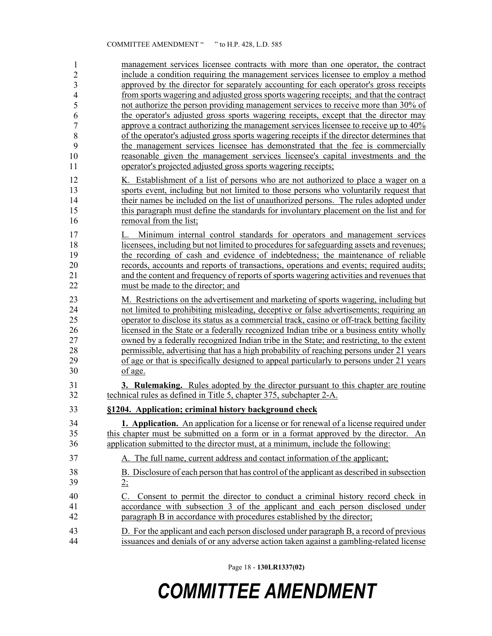| 1<br>$\overline{2}$<br>3<br>$\overline{4}$<br>5<br>6<br>$\overline{7}$<br>8<br>9<br>10<br>11 | management services licensee contracts with more than one operator, the contract<br>include a condition requiring the management services licensee to employ a method<br>approved by the director for separately accounting for each operator's gross receipts<br>from sports wagering and adjusted gross sports wagering receipts; and that the contract<br>not authorize the person providing management services to receive more than 30% of<br>the operator's adjusted gross sports wagering receipts, except that the director may<br>approve a contract authorizing the management services licensee to receive up to 40%<br>of the operator's adjusted gross sports wagering receipts if the director determines that<br>the management services licensee has demonstrated that the fee is commercially<br>reasonable given the management services licensee's capital investments and the<br>operator's projected adjusted gross sports wagering receipts; |
|----------------------------------------------------------------------------------------------|--------------------------------------------------------------------------------------------------------------------------------------------------------------------------------------------------------------------------------------------------------------------------------------------------------------------------------------------------------------------------------------------------------------------------------------------------------------------------------------------------------------------------------------------------------------------------------------------------------------------------------------------------------------------------------------------------------------------------------------------------------------------------------------------------------------------------------------------------------------------------------------------------------------------------------------------------------------------|
| 12                                                                                           | K. Establishment of a list of persons who are not authorized to place a wager on a                                                                                                                                                                                                                                                                                                                                                                                                                                                                                                                                                                                                                                                                                                                                                                                                                                                                                 |
| 13                                                                                           | sports event, including but not limited to those persons who voluntarily request that                                                                                                                                                                                                                                                                                                                                                                                                                                                                                                                                                                                                                                                                                                                                                                                                                                                                              |
| 14                                                                                           | their names be included on the list of unauthorized persons. The rules adopted under                                                                                                                                                                                                                                                                                                                                                                                                                                                                                                                                                                                                                                                                                                                                                                                                                                                                               |
| 15                                                                                           | this paragraph must define the standards for involuntary placement on the list and for                                                                                                                                                                                                                                                                                                                                                                                                                                                                                                                                                                                                                                                                                                                                                                                                                                                                             |
| 16                                                                                           | removal from the list;                                                                                                                                                                                                                                                                                                                                                                                                                                                                                                                                                                                                                                                                                                                                                                                                                                                                                                                                             |
| 17                                                                                           | Minimum internal control standards for operators and management services<br>L.                                                                                                                                                                                                                                                                                                                                                                                                                                                                                                                                                                                                                                                                                                                                                                                                                                                                                     |
| 18                                                                                           | licensees, including but not limited to procedures for safeguarding assets and revenues;                                                                                                                                                                                                                                                                                                                                                                                                                                                                                                                                                                                                                                                                                                                                                                                                                                                                           |
| 19                                                                                           | the recording of cash and evidence of indebtedness; the maintenance of reliable                                                                                                                                                                                                                                                                                                                                                                                                                                                                                                                                                                                                                                                                                                                                                                                                                                                                                    |
| 20<br>21                                                                                     | records, accounts and reports of transactions, operations and events; required audits;<br>and the content and frequency of reports of sports wagering activities and revenues that                                                                                                                                                                                                                                                                                                                                                                                                                                                                                                                                                                                                                                                                                                                                                                                 |
| 22                                                                                           | must be made to the director; and                                                                                                                                                                                                                                                                                                                                                                                                                                                                                                                                                                                                                                                                                                                                                                                                                                                                                                                                  |
|                                                                                              |                                                                                                                                                                                                                                                                                                                                                                                                                                                                                                                                                                                                                                                                                                                                                                                                                                                                                                                                                                    |
| 23<br>24                                                                                     | M. Restrictions on the advertisement and marketing of sports wagering, including but<br>not limited to prohibiting misleading, deceptive or false advertisements; requiring an                                                                                                                                                                                                                                                                                                                                                                                                                                                                                                                                                                                                                                                                                                                                                                                     |
| 25                                                                                           | operator to disclose its status as a commercial track, casino or off-track betting facility                                                                                                                                                                                                                                                                                                                                                                                                                                                                                                                                                                                                                                                                                                                                                                                                                                                                        |
| 26                                                                                           | licensed in the State or a federally recognized Indian tribe or a business entity wholly                                                                                                                                                                                                                                                                                                                                                                                                                                                                                                                                                                                                                                                                                                                                                                                                                                                                           |
| 27                                                                                           | owned by a federally recognized Indian tribe in the State; and restricting, to the extent                                                                                                                                                                                                                                                                                                                                                                                                                                                                                                                                                                                                                                                                                                                                                                                                                                                                          |
| 28                                                                                           | permissible, advertising that has a high probability of reaching persons under 21 years                                                                                                                                                                                                                                                                                                                                                                                                                                                                                                                                                                                                                                                                                                                                                                                                                                                                            |
| 29                                                                                           | of age or that is specifically designed to appeal particularly to persons under 21 years                                                                                                                                                                                                                                                                                                                                                                                                                                                                                                                                                                                                                                                                                                                                                                                                                                                                           |
| 30                                                                                           | of age.                                                                                                                                                                                                                                                                                                                                                                                                                                                                                                                                                                                                                                                                                                                                                                                                                                                                                                                                                            |
| 31                                                                                           | 3. Rulemaking. Rules adopted by the director pursuant to this chapter are routine                                                                                                                                                                                                                                                                                                                                                                                                                                                                                                                                                                                                                                                                                                                                                                                                                                                                                  |
| 32                                                                                           | technical rules as defined in Title 5, chapter 375, subchapter 2-A.                                                                                                                                                                                                                                                                                                                                                                                                                                                                                                                                                                                                                                                                                                                                                                                                                                                                                                |
| 33                                                                                           | §1204. Application; criminal history background check                                                                                                                                                                                                                                                                                                                                                                                                                                                                                                                                                                                                                                                                                                                                                                                                                                                                                                              |
| 34                                                                                           | <b>1. Application.</b> An application for a license or for renewal of a license required under                                                                                                                                                                                                                                                                                                                                                                                                                                                                                                                                                                                                                                                                                                                                                                                                                                                                     |
| 35                                                                                           | this chapter must be submitted on a form or in a format approved by the director. An                                                                                                                                                                                                                                                                                                                                                                                                                                                                                                                                                                                                                                                                                                                                                                                                                                                                               |
| 36                                                                                           | application submitted to the director must, at a minimum, include the following:                                                                                                                                                                                                                                                                                                                                                                                                                                                                                                                                                                                                                                                                                                                                                                                                                                                                                   |
| 37                                                                                           | A. The full name, current address and contact information of the applicant;                                                                                                                                                                                                                                                                                                                                                                                                                                                                                                                                                                                                                                                                                                                                                                                                                                                                                        |
| 38                                                                                           | B. Disclosure of each person that has control of the applicant as described in subsection                                                                                                                                                                                                                                                                                                                                                                                                                                                                                                                                                                                                                                                                                                                                                                                                                                                                          |
| 39                                                                                           | 2:                                                                                                                                                                                                                                                                                                                                                                                                                                                                                                                                                                                                                                                                                                                                                                                                                                                                                                                                                                 |
| 40                                                                                           | Consent to permit the director to conduct a criminal history record check in<br>C.                                                                                                                                                                                                                                                                                                                                                                                                                                                                                                                                                                                                                                                                                                                                                                                                                                                                                 |
| 41                                                                                           | accordance with subsection 3 of the applicant and each person disclosed under                                                                                                                                                                                                                                                                                                                                                                                                                                                                                                                                                                                                                                                                                                                                                                                                                                                                                      |
| 42                                                                                           | paragraph B in accordance with procedures established by the director;                                                                                                                                                                                                                                                                                                                                                                                                                                                                                                                                                                                                                                                                                                                                                                                                                                                                                             |
| 43                                                                                           | D. For the applicant and each person disclosed under paragraph B, a record of previous                                                                                                                                                                                                                                                                                                                                                                                                                                                                                                                                                                                                                                                                                                                                                                                                                                                                             |
| 44                                                                                           | issuances and denials of or any adverse action taken against a gambling-related license                                                                                                                                                                                                                                                                                                                                                                                                                                                                                                                                                                                                                                                                                                                                                                                                                                                                            |

Page 18 - **130LR1337(02)**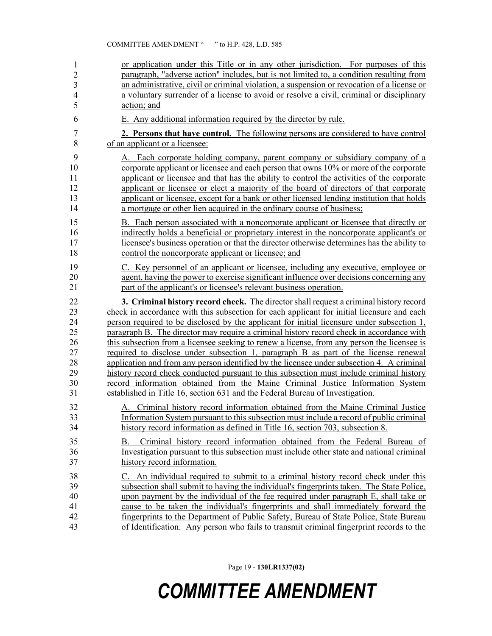| 1                       | or application under this Title or in any other jurisdiction. For purposes of this                                                                                                                       |
|-------------------------|----------------------------------------------------------------------------------------------------------------------------------------------------------------------------------------------------------|
| $\overline{c}$          | paragraph, "adverse action" includes, but is not limited to, a condition resulting from                                                                                                                  |
| $\overline{\mathbf{3}}$ | an administrative, civil or criminal violation, a suspension or revocation of a license or                                                                                                               |
| $\overline{4}$          | a voluntary surrender of a license to avoid or resolve a civil, criminal or disciplinary                                                                                                                 |
| 5                       | action; and                                                                                                                                                                                              |
| 6                       | E. Any additional information required by the director by rule.                                                                                                                                          |
| $\overline{7}$          | 2. Persons that have control. The following persons are considered to have control                                                                                                                       |
| 8                       | of an applicant or a licensee:                                                                                                                                                                           |
| 9                       | A. Each corporate holding company, parent company or subsidiary company of a                                                                                                                             |
| 10                      | corporate applicant or licensee and each person that owns 10% or more of the corporate                                                                                                                   |
| 11                      | applicant or licensee and that has the ability to control the activities of the corporate                                                                                                                |
| 12                      | applicant or licensee or elect a majority of the board of directors of that corporate                                                                                                                    |
| 13                      | applicant or licensee, except for a bank or other licensed lending institution that holds                                                                                                                |
| 14                      | a mortgage or other lien acquired in the ordinary course of business;                                                                                                                                    |
| 15                      | B. Each person associated with a noncorporate applicant or licensee that directly or                                                                                                                     |
| 16                      | indirectly holds a beneficial or proprietary interest in the noncorporate applicant's or                                                                                                                 |
| 17                      | licensee's business operation or that the director otherwise determines has the ability to                                                                                                               |
| 18                      | control the noncorporate applicant or licensee; and                                                                                                                                                      |
| 19                      | C. Key personnel of an applicant or licensee, including any executive, employee or                                                                                                                       |
| 20                      | agent, having the power to exercise significant influence over decisions concerning any                                                                                                                  |
| 21                      | part of the applicant's or licensee's relevant business operation.                                                                                                                                       |
| 22                      | 3. Criminal history record check. The director shall request a criminal history record                                                                                                                   |
| 23                      | check in accordance with this subsection for each applicant for initial licensure and each                                                                                                               |
| 24                      | person required to be disclosed by the applicant for initial licensure under subsection 1,                                                                                                               |
| 25                      | paragraph B. The director may require a criminal history record check in accordance with                                                                                                                 |
| 26                      | this subsection from a licensee seeking to renew a license, from any person the licensee is                                                                                                              |
| 27                      | required to disclose under subsection 1, paragraph B as part of the license renewal                                                                                                                      |
| 28                      | application and from any person identified by the licensee under subsection 4. A criminal                                                                                                                |
| 29                      | history record check conducted pursuant to this subsection must include criminal history                                                                                                                 |
| 30                      | record information obtained from the Maine Criminal Justice Information System                                                                                                                           |
| 31                      | established in Title 16, section 631 and the Federal Bureau of Investigation.                                                                                                                            |
| 32                      | A. Criminal history record information obtained from the Maine Criminal Justice                                                                                                                          |
| 33                      | Information System pursuant to this subsection must include a record of public criminal                                                                                                                  |
| 34                      | history record information as defined in Title 16, section 703, subsection 8.                                                                                                                            |
| 35<br>36<br>37          | Criminal history record information obtained from the Federal Bureau of<br>Β.<br>Investigation pursuant to this subsection must include other state and national criminal<br>history record information. |
| 38                      | C. An individual required to submit to a criminal history record check under this                                                                                                                        |
| 39                      | subsection shall submit to having the individual's fingerprints taken. The State Police,                                                                                                                 |
| 40                      | upon payment by the individual of the fee required under paragraph E, shall take or                                                                                                                      |
| 41                      | cause to be taken the individual's fingerprints and shall immediately forward the                                                                                                                        |
| 42                      | fingerprints to the Department of Public Safety, Bureau of State Police, State Bureau                                                                                                                    |
| 43                      | of Identification. Any person who fails to transmit criminal fingerprint records to the                                                                                                                  |

Page 19 - **130LR1337(02)**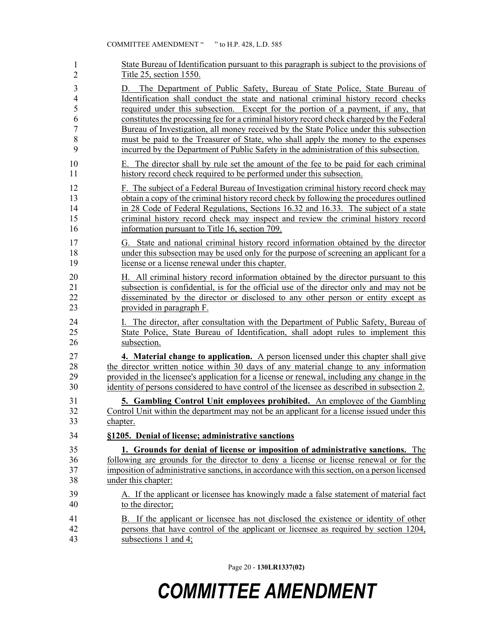| 1                                                                                  | State Bureau of Identification pursuant to this paragraph is subject to the provisions of                                                                                                                                                                                                                                                                                                                                                                                                                                                                                                                                                                                                                                                                                                     |
|------------------------------------------------------------------------------------|-----------------------------------------------------------------------------------------------------------------------------------------------------------------------------------------------------------------------------------------------------------------------------------------------------------------------------------------------------------------------------------------------------------------------------------------------------------------------------------------------------------------------------------------------------------------------------------------------------------------------------------------------------------------------------------------------------------------------------------------------------------------------------------------------|
| $\overline{2}$                                                                     | Title 25, section 1550.                                                                                                                                                                                                                                                                                                                                                                                                                                                                                                                                                                                                                                                                                                                                                                       |
| $\mathfrak{Z}$<br>$\overline{4}$<br>5<br>6<br>$\overline{7}$<br>8<br>9<br>10<br>11 | The Department of Public Safety, Bureau of State Police, State Bureau of<br>D.<br>Identification shall conduct the state and national criminal history record checks<br>required under this subsection. Except for the portion of a payment, if any, that<br>constitutes the processing fee for a criminal history record check charged by the Federal<br>Bureau of Investigation, all money received by the State Police under this subsection<br>must be paid to the Treasurer of State, who shall apply the money to the expenses<br>incurred by the Department of Public Safety in the administration of this subsection.<br>E. The director shall by rule set the amount of the fee to be paid for each criminal<br>history record check required to be performed under this subsection. |
| 12                                                                                 | F. The subject of a Federal Bureau of Investigation criminal history record check may                                                                                                                                                                                                                                                                                                                                                                                                                                                                                                                                                                                                                                                                                                         |
| 13                                                                                 | obtain a copy of the criminal history record check by following the procedures outlined                                                                                                                                                                                                                                                                                                                                                                                                                                                                                                                                                                                                                                                                                                       |
| 14                                                                                 | in 28 Code of Federal Regulations, Sections 16.32 and 16.33. The subject of a state                                                                                                                                                                                                                                                                                                                                                                                                                                                                                                                                                                                                                                                                                                           |
| 15                                                                                 | criminal history record check may inspect and review the criminal history record                                                                                                                                                                                                                                                                                                                                                                                                                                                                                                                                                                                                                                                                                                              |
| 16                                                                                 | information pursuant to Title 16, section 709.                                                                                                                                                                                                                                                                                                                                                                                                                                                                                                                                                                                                                                                                                                                                                |
| 17                                                                                 | G. State and national criminal history record information obtained by the director                                                                                                                                                                                                                                                                                                                                                                                                                                                                                                                                                                                                                                                                                                            |
| 18                                                                                 | under this subsection may be used only for the purpose of screening an applicant for a                                                                                                                                                                                                                                                                                                                                                                                                                                                                                                                                                                                                                                                                                                        |
| 19                                                                                 | license or a license renewal under this chapter.                                                                                                                                                                                                                                                                                                                                                                                                                                                                                                                                                                                                                                                                                                                                              |
| 20                                                                                 | H. All criminal history record information obtained by the director pursuant to this                                                                                                                                                                                                                                                                                                                                                                                                                                                                                                                                                                                                                                                                                                          |
| 21                                                                                 | subsection is confidential, is for the official use of the director only and may not be                                                                                                                                                                                                                                                                                                                                                                                                                                                                                                                                                                                                                                                                                                       |
| 22                                                                                 | disseminated by the director or disclosed to any other person or entity except as                                                                                                                                                                                                                                                                                                                                                                                                                                                                                                                                                                                                                                                                                                             |
| 23                                                                                 | provided in paragraph F.                                                                                                                                                                                                                                                                                                                                                                                                                                                                                                                                                                                                                                                                                                                                                                      |
| 24                                                                                 | I. The director, after consultation with the Department of Public Safety, Bureau of                                                                                                                                                                                                                                                                                                                                                                                                                                                                                                                                                                                                                                                                                                           |
| 25                                                                                 | State Police, State Bureau of Identification, shall adopt rules to implement this                                                                                                                                                                                                                                                                                                                                                                                                                                                                                                                                                                                                                                                                                                             |
| 26                                                                                 | subsection.                                                                                                                                                                                                                                                                                                                                                                                                                                                                                                                                                                                                                                                                                                                                                                                   |
| 27                                                                                 | <b>4. Material change to application.</b> A person licensed under this chapter shall give                                                                                                                                                                                                                                                                                                                                                                                                                                                                                                                                                                                                                                                                                                     |
| 28                                                                                 | the director written notice within 30 days of any material change to any information                                                                                                                                                                                                                                                                                                                                                                                                                                                                                                                                                                                                                                                                                                          |
| 29                                                                                 | provided in the licensee's application for a license or renewal, including any change in the                                                                                                                                                                                                                                                                                                                                                                                                                                                                                                                                                                                                                                                                                                  |
| 30                                                                                 | identity of persons considered to have control of the licensee as described in subsection 2.                                                                                                                                                                                                                                                                                                                                                                                                                                                                                                                                                                                                                                                                                                  |
| 31                                                                                 | <b>5. Gambling Control Unit employees prohibited.</b> An employee of the Gambling                                                                                                                                                                                                                                                                                                                                                                                                                                                                                                                                                                                                                                                                                                             |
| 32                                                                                 | Control Unit within the department may not be an applicant for a license issued under this                                                                                                                                                                                                                                                                                                                                                                                                                                                                                                                                                                                                                                                                                                    |
| 33                                                                                 | chapter.                                                                                                                                                                                                                                                                                                                                                                                                                                                                                                                                                                                                                                                                                                                                                                                      |
| 34                                                                                 | §1205. Denial of license; administrative sanctions                                                                                                                                                                                                                                                                                                                                                                                                                                                                                                                                                                                                                                                                                                                                            |
| 35                                                                                 | 1. Grounds for denial of license or imposition of administrative sanctions. The                                                                                                                                                                                                                                                                                                                                                                                                                                                                                                                                                                                                                                                                                                               |
| 36                                                                                 | following are grounds for the director to deny a license or license renewal or for the                                                                                                                                                                                                                                                                                                                                                                                                                                                                                                                                                                                                                                                                                                        |
| 37                                                                                 | imposition of administrative sanctions, in accordance with this section, on a person licensed                                                                                                                                                                                                                                                                                                                                                                                                                                                                                                                                                                                                                                                                                                 |
| 38                                                                                 | under this chapter:                                                                                                                                                                                                                                                                                                                                                                                                                                                                                                                                                                                                                                                                                                                                                                           |
| 39                                                                                 | A. If the applicant or licensee has knowingly made a false statement of material fact                                                                                                                                                                                                                                                                                                                                                                                                                                                                                                                                                                                                                                                                                                         |
| 40                                                                                 | to the director;                                                                                                                                                                                                                                                                                                                                                                                                                                                                                                                                                                                                                                                                                                                                                                              |
| 41                                                                                 | B. If the applicant or licensee has not disclosed the existence or identity of other                                                                                                                                                                                                                                                                                                                                                                                                                                                                                                                                                                                                                                                                                                          |
| 42                                                                                 | persons that have control of the applicant or licensee as required by section 1204,                                                                                                                                                                                                                                                                                                                                                                                                                                                                                                                                                                                                                                                                                                           |
| 43                                                                                 | subsections 1 and 4;                                                                                                                                                                                                                                                                                                                                                                                                                                                                                                                                                                                                                                                                                                                                                                          |

Page 20 - **130LR1337(02)**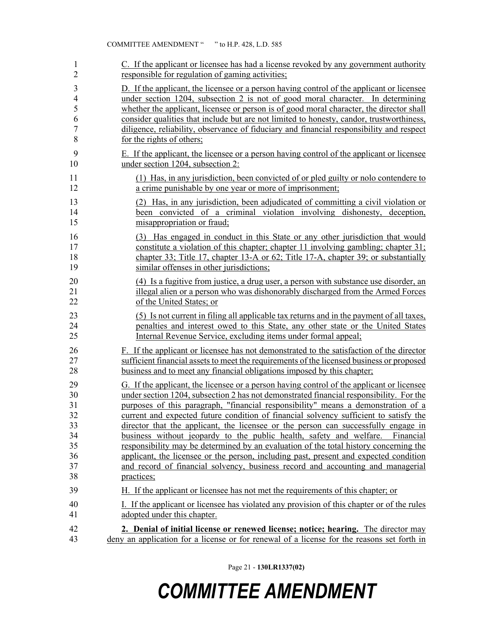| 1                                                        | C. If the applicant or licensee has had a license revoked by any government authority                                                                                                                                                                                                                                                                                                                                                                                                                                                                                                                                                                                                                                                                                                                                           |
|----------------------------------------------------------|---------------------------------------------------------------------------------------------------------------------------------------------------------------------------------------------------------------------------------------------------------------------------------------------------------------------------------------------------------------------------------------------------------------------------------------------------------------------------------------------------------------------------------------------------------------------------------------------------------------------------------------------------------------------------------------------------------------------------------------------------------------------------------------------------------------------------------|
| $\overline{2}$                                           | responsible for regulation of gaming activities;                                                                                                                                                                                                                                                                                                                                                                                                                                                                                                                                                                                                                                                                                                                                                                                |
| 3                                                        | D. If the applicant, the licensee or a person having control of the applicant or licensee                                                                                                                                                                                                                                                                                                                                                                                                                                                                                                                                                                                                                                                                                                                                       |
| $\overline{4}$                                           | under section 1204, subsection 2 is not of good moral character. In determining                                                                                                                                                                                                                                                                                                                                                                                                                                                                                                                                                                                                                                                                                                                                                 |
| 5                                                        | whether the applicant, licensee or person is of good moral character, the director shall                                                                                                                                                                                                                                                                                                                                                                                                                                                                                                                                                                                                                                                                                                                                        |
| 6                                                        | consider qualities that include but are not limited to honesty, candor, trustworthiness,                                                                                                                                                                                                                                                                                                                                                                                                                                                                                                                                                                                                                                                                                                                                        |
| $\tau$                                                   | diligence, reliability, observance of fiduciary and financial responsibility and respect                                                                                                                                                                                                                                                                                                                                                                                                                                                                                                                                                                                                                                                                                                                                        |
| 8                                                        | for the rights of others;                                                                                                                                                                                                                                                                                                                                                                                                                                                                                                                                                                                                                                                                                                                                                                                                       |
| 9                                                        | E. If the applicant, the licensee or a person having control of the applicant or licensee                                                                                                                                                                                                                                                                                                                                                                                                                                                                                                                                                                                                                                                                                                                                       |
| 10                                                       | under section 1204, subsection 2:                                                                                                                                                                                                                                                                                                                                                                                                                                                                                                                                                                                                                                                                                                                                                                                               |
| 11                                                       | (1) Has, in any jurisdiction, been convicted of or pled guilty or nolo contendere to                                                                                                                                                                                                                                                                                                                                                                                                                                                                                                                                                                                                                                                                                                                                            |
| 12                                                       | a crime punishable by one year or more of imprisonment;                                                                                                                                                                                                                                                                                                                                                                                                                                                                                                                                                                                                                                                                                                                                                                         |
| 13                                                       | (2) Has, in any jurisdiction, been adjudicated of committing a civil violation or                                                                                                                                                                                                                                                                                                                                                                                                                                                                                                                                                                                                                                                                                                                                               |
| 14                                                       | been convicted of a criminal violation involving dishonesty, deception,                                                                                                                                                                                                                                                                                                                                                                                                                                                                                                                                                                                                                                                                                                                                                         |
| 15                                                       | misappropriation or fraud;                                                                                                                                                                                                                                                                                                                                                                                                                                                                                                                                                                                                                                                                                                                                                                                                      |
| 16                                                       | (3) Has engaged in conduct in this State or any other jurisdiction that would                                                                                                                                                                                                                                                                                                                                                                                                                                                                                                                                                                                                                                                                                                                                                   |
| 17                                                       | constitute a violation of this chapter; chapter 11 involving gambling; chapter 31;                                                                                                                                                                                                                                                                                                                                                                                                                                                                                                                                                                                                                                                                                                                                              |
| 18                                                       | chapter 33; Title 17, chapter 13-A or 62; Title 17-A, chapter 39; or substantially                                                                                                                                                                                                                                                                                                                                                                                                                                                                                                                                                                                                                                                                                                                                              |
| 19                                                       | similar offenses in other jurisdictions;                                                                                                                                                                                                                                                                                                                                                                                                                                                                                                                                                                                                                                                                                                                                                                                        |
| 20                                                       | (4) Is a fugitive from justice, a drug user, a person with substance use disorder, an                                                                                                                                                                                                                                                                                                                                                                                                                                                                                                                                                                                                                                                                                                                                           |
| 21                                                       | illegal alien or a person who was dishonorably discharged from the Armed Forces                                                                                                                                                                                                                                                                                                                                                                                                                                                                                                                                                                                                                                                                                                                                                 |
| 22                                                       | of the United States; or                                                                                                                                                                                                                                                                                                                                                                                                                                                                                                                                                                                                                                                                                                                                                                                                        |
| 23                                                       | (5) Is not current in filing all applicable tax returns and in the payment of all taxes,                                                                                                                                                                                                                                                                                                                                                                                                                                                                                                                                                                                                                                                                                                                                        |
| 24                                                       | penalties and interest owed to this State, any other state or the United States                                                                                                                                                                                                                                                                                                                                                                                                                                                                                                                                                                                                                                                                                                                                                 |
| 25                                                       | Internal Revenue Service, excluding items under formal appeal;                                                                                                                                                                                                                                                                                                                                                                                                                                                                                                                                                                                                                                                                                                                                                                  |
| 26                                                       | F. If the applicant or licensee has not demonstrated to the satisfaction of the director                                                                                                                                                                                                                                                                                                                                                                                                                                                                                                                                                                                                                                                                                                                                        |
| 27                                                       | sufficient financial assets to meet the requirements of the licensed business or proposed                                                                                                                                                                                                                                                                                                                                                                                                                                                                                                                                                                                                                                                                                                                                       |
| 28                                                       | business and to meet any financial obligations imposed by this chapter;                                                                                                                                                                                                                                                                                                                                                                                                                                                                                                                                                                                                                                                                                                                                                         |
| 29<br>30<br>31<br>32<br>33<br>34<br>35<br>36<br>37<br>38 | G. If the applicant, the licensee or a person having control of the applicant or licensee<br>under section 1204, subsection 2 has not demonstrated financial responsibility. For the<br>purposes of this paragraph, "financial responsibility" means a demonstration of a<br>current and expected future condition of financial solvency sufficient to satisfy the<br>director that the applicant, the licensee or the person can successfully engage in<br>business without jeopardy to the public health, safety and welfare.<br>Financial<br>responsibility may be determined by an evaluation of the total history concerning the<br>applicant, the licensee or the person, including past, present and expected condition<br>and record of financial solvency, business record and accounting and managerial<br>practices; |
| 39                                                       | H. If the applicant or licensee has not met the requirements of this chapter; or                                                                                                                                                                                                                                                                                                                                                                                                                                                                                                                                                                                                                                                                                                                                                |
| 40                                                       | I. If the applicant or licensee has violated any provision of this chapter or of the rules                                                                                                                                                                                                                                                                                                                                                                                                                                                                                                                                                                                                                                                                                                                                      |
| 41                                                       | adopted under this chapter.                                                                                                                                                                                                                                                                                                                                                                                                                                                                                                                                                                                                                                                                                                                                                                                                     |
| 42                                                       | 2. Denial of initial license or renewed license; notice; hearing. The director may                                                                                                                                                                                                                                                                                                                                                                                                                                                                                                                                                                                                                                                                                                                                              |
| 43                                                       | deny an application for a license or for renewal of a license for the reasons set forth in                                                                                                                                                                                                                                                                                                                                                                                                                                                                                                                                                                                                                                                                                                                                      |

Page 21 - **130LR1337(02)**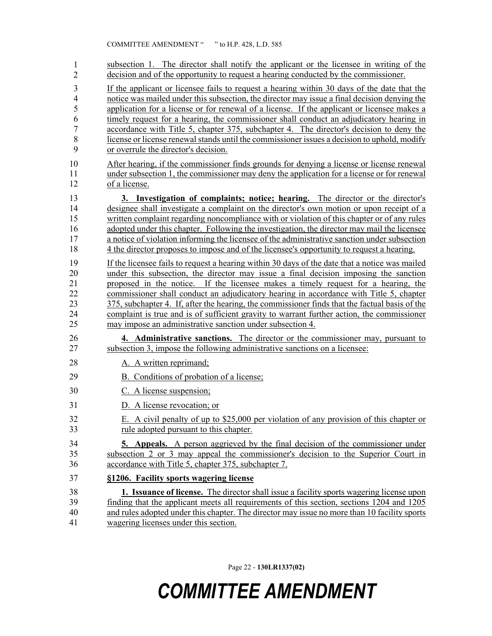| 1              | subsection 1. The director shall notify the applicant or the licensee in writing of the        |
|----------------|------------------------------------------------------------------------------------------------|
| $\overline{2}$ | decision and of the opportunity to request a hearing conducted by the commissioner.            |
| 3              | If the applicant or licensee fails to request a hearing within 30 days of the date that the    |
| $\overline{4}$ | notice was mailed under this subsection, the director may issue a final decision denying the   |
| 5              | application for a license or for renewal of a license. If the applicant or licensee makes a    |
| 6              | timely request for a hearing, the commissioner shall conduct an adjudicatory hearing in        |
| 7              | accordance with Title 5, chapter 375, subchapter 4. The director's decision to deny the        |
| 8              | license or license renewal stands until the commissioner issues a decision to uphold, modify   |
| 9              | or overrule the director's decision.                                                           |
| 10             | After hearing, if the commissioner finds grounds for denying a license or license renewal      |
| 11             | under subsection 1, the commissioner may deny the application for a license or for renewal     |
| 12             | of a license.                                                                                  |
| 13             | 3. Investigation of complaints; notice; hearing. The director or the director's                |
| 14             | designee shall investigate a complaint on the director's own motion or upon receipt of a       |
| 15             | written complaint regarding noncompliance with or violation of this chapter or of any rules    |
| 16             | adopted under this chapter. Following the investigation, the director may mail the licensee    |
| 17             | a notice of violation informing the licensee of the administrative sanction under subsection   |
| 18             | 4 the director proposes to impose and of the licensee's opportunity to request a hearing.      |
| 19             | If the licensee fails to request a hearing within 30 days of the date that a notice was mailed |
| 20             | under this subsection, the director may issue a final decision imposing the sanction           |
| 21             | proposed in the notice. If the licensee makes a timely request for a hearing, the              |
| 22             | commissioner shall conduct an adjudicatory hearing in accordance with Title 5, chapter         |
| 23             | 375, subchapter 4. If, after the hearing, the commissioner finds that the factual basis of the |
| 24             | complaint is true and is of sufficient gravity to warrant further action, the commissioner     |
| 25             | may impose an administrative sanction under subsection 4.                                      |
| 26             | 4. Administrative sanctions. The director or the commissioner may, pursuant to                 |
| 27             | subsection 3, impose the following administrative sanctions on a licensee:                     |
| 28             | A. A written reprimand;                                                                        |
| 29             | B. Conditions of probation of a license;                                                       |
| 30             | C. A license suspension;                                                                       |
| 31             | D. A license revocation; or                                                                    |
| 32             | E. A civil penalty of up to \$25,000 per violation of any provision of this chapter or         |
| 33             | rule adopted pursuant to this chapter.                                                         |
| 34             | <b>5.</b> Appeals. A person aggrieved by the final decision of the commissioner under          |
| 35             | subsection 2 or 3 may appeal the commissioner's decision to the Superior Court in              |
| 36             | accordance with Title 5, chapter 375, subchapter 7.                                            |
| 37             | §1206. Facility sports wagering license                                                        |
| 38             | 1. Issuance of license. The director shall issue a facility sports wagering license upon       |
| 39             | finding that the applicant meets all requirements of this section, sections 1204 and 1205      |
| 40             | and rules adopted under this chapter. The director may issue no more than 10 facility sports   |
| 41             | wagering licenses under this section.                                                          |

Page 22 - **130LR1337(02)**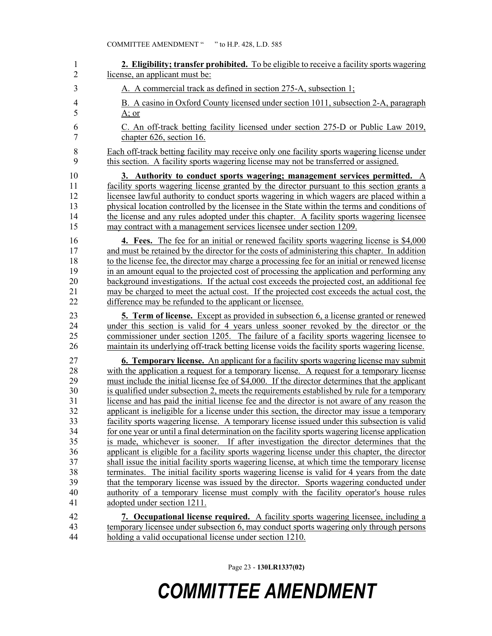| 1              | <b>2. Eligibility; transfer prohibited.</b> To be eligible to receive a facility sports wagering |
|----------------|--------------------------------------------------------------------------------------------------|
| $\overline{2}$ | license, an applicant must be:                                                                   |
| 3              | A. A commercial track as defined in section 275-A, subsection 1;                                 |
| $\overline{4}$ | B. A casino in Oxford County licensed under section 1011, subsection 2-A, paragraph              |
| 5              | <u>A; or</u>                                                                                     |
| 6              | C. An off-track betting facility licensed under section 275-D or Public Law 2019,                |
| 7              | chapter 626, section 16.                                                                         |
| $\,$ $\,$      | Each off-track betting facility may receive only one facility sports wagering license under      |
| 9              | this section. A facility sports wagering license may not be transferred or assigned.             |
| 10             | 3. Authority to conduct sports wagering; management services permitted. A                        |
| 11             | facility sports wagering license granted by the director pursuant to this section grants a       |
| 12             | licensee lawful authority to conduct sports wagering in which wagers are placed within a         |
| 13             | physical location controlled by the licensee in the State within the terms and conditions of     |
| 14             | the license and any rules adopted under this chapter. A facility sports wagering licensee        |
| 15             | may contract with a management services licensee under section 1209.                             |
| 16             | <b>4.</b> Fees. The fee for an initial or renewed facility sports wagering license is \$4,000    |
| 17             | and must be retained by the director for the costs of administering this chapter. In addition    |
| 18             | to the license fee, the director may charge a processing fee for an initial or renewed license   |
| 19             | in an amount equal to the projected cost of processing the application and performing any        |
| 20             | background investigations. If the actual cost exceeds the projected cost, an additional fee      |
| 21             | may be charged to meet the actual cost. If the projected cost exceeds the actual cost, the       |
| 22             | difference may be refunded to the applicant or licensee.                                         |
| 23             | <b>5. Term of license.</b> Except as provided in subsection 6, a license granted or renewed      |
| 24             | under this section is valid for 4 years unless sooner revoked by the director or the             |
| 25             | commissioner under section 1205. The failure of a facility sports wagering licensee to           |
| 26             | maintain its underlying off-track betting license voids the facility sports wagering license.    |
| 27             | <b>6. Temporary license.</b> An applicant for a facility sports wagering license may submit      |
| 28             | with the application a request for a temporary license. A request for a temporary license        |
| 29             | must include the initial license fee of \$4,000. If the director determines that the applicant   |
| 30             | is qualified under subsection 2, meets the requirements established by rule for a temporary      |
| 31             | license and has paid the initial license fee and the director is not aware of any reason the     |
| 32             | applicant is ineligible for a license under this section, the director may issue a temporary     |
| 33             | facility sports wagering license. A temporary license issued under this subsection is valid      |
| 34             | for one year or until a final determination on the facility sports wagering license application  |
| 35             | is made, whichever is sooner. If after investigation the director determines that the            |
| 36             | applicant is eligible for a facility sports wagering license under this chapter, the director    |
| 37             | shall issue the initial facility sports wagering license, at which time the temporary license    |
| 38             | terminates. The initial facility sports wagering license is valid for 4 years from the date      |
| 39             | that the temporary license was issued by the director. Sports wagering conducted under           |
| 40             | authority of a temporary license must comply with the facility operator's house rules            |
| 41             | adopted under section 1211.                                                                      |
| 42             | 7. Occupational license required. A facility sports wagering licensee, including a               |
| 43             | temporary licensee under subsection 6, may conduct sports wagering only through persons          |
| 44             | holding a valid occupational license under section 1210.                                         |

Page 23 - **130LR1337(02)**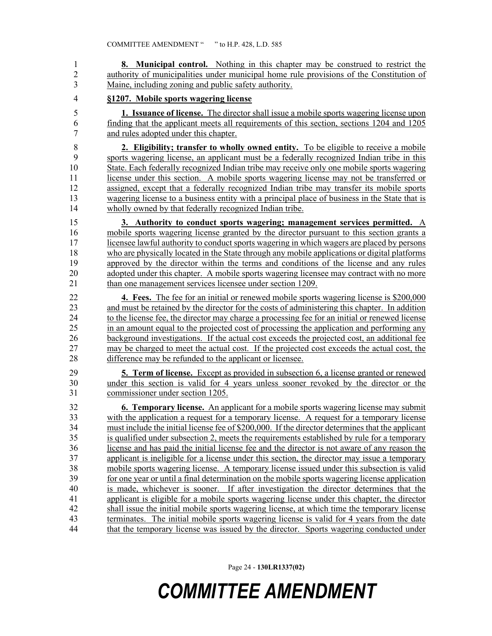| 1              | <b>8. Municipal control.</b> Nothing in this chapter may be construed to restrict the            |
|----------------|--------------------------------------------------------------------------------------------------|
| $\overline{2}$ | authority of municipalities under municipal home rule provisions of the Constitution of          |
| 3              | Maine, including zoning and public safety authority.                                             |
| $\overline{4}$ | §1207. Mobile sports wagering license                                                            |
| 5              | 1. Issuance of license. The director shall issue a mobile sports wagering license upon           |
| 6              | finding that the applicant meets all requirements of this section, sections 1204 and 1205        |
| $\tau$         | and rules adopted under this chapter.                                                            |
| 8              | 2. Eligibility; transfer to wholly owned entity. To be eligible to receive a mobile              |
| 9              | sports wagering license, an applicant must be a federally recognized Indian tribe in this        |
| 10             | State. Each federally recognized Indian tribe may receive only one mobile sports wagering        |
| 11             | license under this section. A mobile sports wagering license may not be transferred or           |
| 12             | assigned, except that a federally recognized Indian tribe may transfer its mobile sports         |
| 13             | wagering license to a business entity with a principal place of business in the State that is    |
| 14             | wholly owned by that federally recognized Indian tribe.                                          |
| 15             | 3. Authority to conduct sports wagering; management services permitted. A                        |
| 16             | mobile sports wagering license granted by the director pursuant to this section grants a         |
| 17             | licensee lawful authority to conduct sports wagering in which wagers are placed by persons       |
| 18             | who are physically located in the State through any mobile applications or digital platforms     |
| 19             | approved by the director within the terms and conditions of the license and any rules            |
| 20             | adopted under this chapter. A mobile sports wagering licensee may contract with no more          |
| 21             | than one management services licensee under section 1209.                                        |
| 22             | <b>4. Fees.</b> The fee for an initial or renewed mobile sports wagering license is \$200,000    |
| 23             | and must be retained by the director for the costs of administering this chapter. In addition    |
| 24             | to the license fee, the director may charge a processing fee for an initial or renewed license   |
| 25             | in an amount equal to the projected cost of processing the application and performing any        |
| 26             | background investigations. If the actual cost exceeds the projected cost, an additional fee      |
| 27             | may be charged to meet the actual cost. If the projected cost exceeds the actual cost, the       |
| 28             | difference may be refunded to the applicant or licensee.                                         |
| 29             | <b>5. Term of license.</b> Except as provided in subsection 6, a license granted or renewed      |
| 30             | under this section is valid for 4 years unless sooner revoked by the director or the             |
| 31             | commissioner under section 1205.                                                                 |
| 32             | 6. Temporary license. An applicant for a mobile sports wagering license may submit               |
| 33             | with the application a request for a temporary license. A request for a temporary license        |
| 34             | must include the initial license fee of \$200,000. If the director determines that the applicant |
| 35             | is qualified under subsection 2, meets the requirements established by rule for a temporary      |
| 36             | license and has paid the initial license fee and the director is not aware of any reason the     |
| 37             | applicant is ineligible for a license under this section, the director may issue a temporary     |
| 38             | mobile sports wagering license. A temporary license issued under this subsection is valid        |
| 39             | for one year or until a final determination on the mobile sports wagering license application    |
| 40             | is made, whichever is sooner. If after investigation the director determines that the            |
| 41             | applicant is eligible for a mobile sports wagering license under this chapter, the director      |
| 42             | shall issue the initial mobile sports wagering license, at which time the temporary license      |
| 43             | terminates. The initial mobile sports wagering license is valid for 4 years from the date        |
| 44             | that the temporary license was issued by the director. Sports wagering conducted under           |

Page 24 - **130LR1337(02)**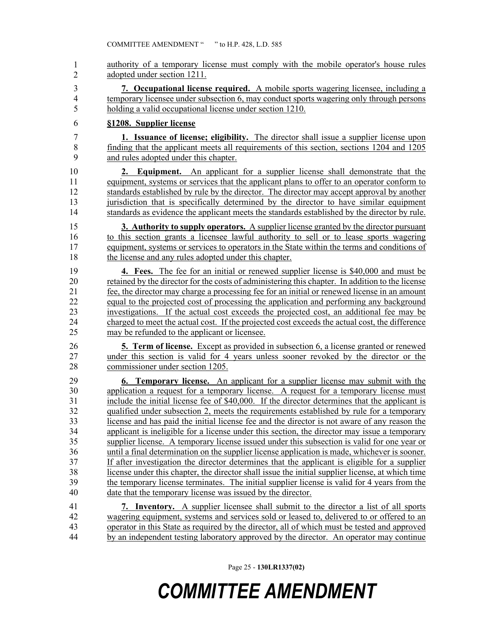authority of a temporary license must comply with the mobile operator's house rules adopted under section 1211. 3 **7. Occupational license required.** A mobile sports wagering licensee, including a 4 temporary licensee under subsection 6, may conduct sports wagering only through persons 5 holding a valid occupational license under section 1210. 6 **§1208. Supplier license** 7 **1. Issuance of license; eligibility.** The director shall issue a supplier license upon 8 finding that the applicant meets all requirements of this section, sections 1204 and 1205 9 and rules adopted under this chapter. 10 **2. Equipment.** An applicant for a supplier license shall demonstrate that the 11 equipment, systems or services that the applicant plans to offer to an operator conform to 12 standards established by rule by the director. The director may accept approval by another 13 jurisdiction that is specifically determined by the director to have similar equipment 14 standards as evidence the applicant meets the standards established by the director by rule. 15 **3. Authority to supply operators.** A supplier license granted by the director pursuant 16 to this section grants a licensee lawful authority to sell or to lease sports wagering 17 equipment, systems or services to operators in the State within the terms and conditions of 18 the license and any rules adopted under this chapter. 19 **4. Fees.** The fee for an initial or renewed supplier license is \$40,000 and must be 20 retained by the director for the costs of administering this chapter. In addition to the license 21 fee, the director may charge a processing fee for an initial or renewed license in an amount 22 equal to the projected cost of processing the application and performing any background 23 investigations. If the actual cost exceeds the projected cost, an additional fee may be 24 charged to meet the actual cost. If the projected cost exceeds the actual cost, the difference 25 may be refunded to the applicant or licensee. 26 **5. Term of license.** Except as provided in subsection 6, a license granted or renewed 27 under this section is valid for 4 years unless sooner revoked by the director or the 28 commissioner under section 1205. 29 **6. Temporary license.** An applicant for a supplier license may submit with the 30 application a request for a temporary license. A request for a temporary license must 31 include the initial license fee of \$40,000. If the director determines that the applicant is 32 qualified under subsection 2, meets the requirements established by rule for a temporary 33 license and has paid the initial license fee and the director is not aware of any reason the 34 applicant is ineligible for a license under this section, the director may issue a temporary 35 supplier license. A temporary license issued under this subsection is valid for one year or 36 until a final determination on the supplier license application is made, whichever is sooner. 37 If after investigation the director determines that the applicant is eligible for a supplier 38 license under this chapter, the director shall issue the initial supplier license, at which time 39 the temporary license terminates. The initial supplier license is valid for 4 years from the 40 date that the temporary license was issued by the director. 41 **7. Inventory.** A supplier licensee shall submit to the director a list of all sports 42 wagering equipment, systems and services sold or leased to, delivered to or offered to an 43 operator in this State as required by the director, all of which must be tested and approved 44 by an independent testing laboratory approved by the director. An operator may continue 1 2

Page 25 - **130LR1337(02)**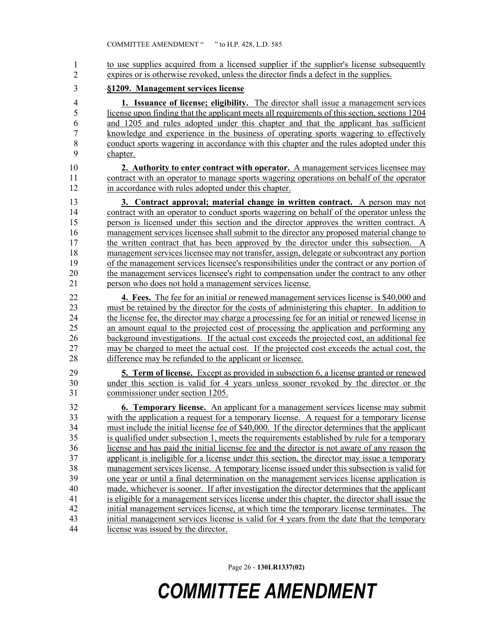to use supplies acquired from a licensed supplier if the supplier's license subsequently expires or is otherwise revoked, unless the director finds a defect in the supplies. 1 2

### 3 **§1209. Management services license**

4 **1. Issuance of license; eligibility.** The director shall issue a management services 5 license upon finding that the applicant meets all requirements of this section, sections 1204 6 and 1205 and rules adopted under this chapter and that the applicant has sufficient 7 knowledge and experience in the business of operating sports wagering to effectively 8 conduct sports wagering in accordance with this chapter and the rules adopted under this 9 chapter.

10 **2. Authority to enter contract with operator.** A management services licensee may 11 contract with an operator to manage sports wagering operations on behalf of the operator 12 in accordance with rules adopted under this chapter.

13 **3. Contract approval; material change in written contract.** A person may not 14 contract with an operator to conduct sports wagering on behalf of the operator unless the 15 person is licensed under this section and the director approves the written contract. A 16 management services licensee shall submit to the director any proposed material change to 17 the written contract that has been approved by the director under this subsection. A 18 management services licensee may not transfer, assign, delegate or subcontract any portion 19 of the management services licensee's responsibilities under the contract or any portion of 20 the management services licensee's right to compensation under the contract to any other 21 person who does not hold a management services license.

22 **4. Fees.** The fee for an initial or renewed management services license is \$40,000 and 23 must be retained by the director for the costs of administering this chapter. In addition to 24 the license fee, the director may charge a processing fee for an initial or renewed license in 25 an amount equal to the projected cost of processing the application and performing any 26 background investigations. If the actual cost exceeds the projected cost, an additional fee 27 may be charged to meet the actual cost. If the projected cost exceeds the actual cost, the 28 difference may be refunded to the applicant or licensee.

29 **5. Term of license.** Except as provided in subsection 6, a license granted or renewed 30 under this section is valid for 4 years unless sooner revoked by the director or the 31 commissioner under section 1205.

32 **6. Temporary license.** An applicant for a management services license may submit 33 with the application a request for a temporary license. A request for a temporary license 34 must include the initial license fee of \$40,000. If the director determines that the applicant 35 is qualified under subsection 1, meets the requirements established by rule for a temporary 36 license and has paid the initial license fee and the director is not aware of any reason the 37 applicant is ineligible for a license under this section, the director may issue a temporary 38 management services license. A temporary license issued under this subsection is valid for 39 one year or until a final determination on the management services license application is 40 made, whichever is sooner. If after investigation the director determines that the applicant 41 is eligible for a management services license under this chapter, the director shall issue the 42 initial management services license, at which time the temporary license terminates. The 43 initial management services license is valid for 4 years from the date that the temporary 44 license was issued by the director.

Page 26 - **130LR1337(02)**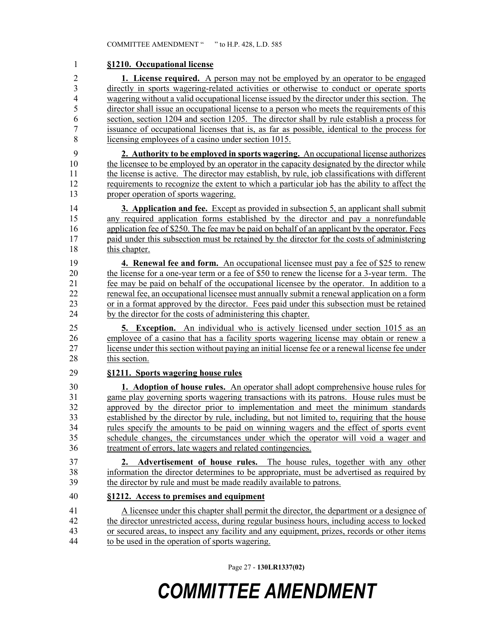#### 1 **§1210. Occupational license**

2 **1. License required.** A person may not be employed by an operator to be engaged 3 directly in sports wagering-related activities or otherwise to conduct or operate sports 4 wagering without a valid occupational license issued by the director under this section. The 5 director shall issue an occupational license to a person who meets the requirements of this 6 section, section 1204 and section 1205. The director shall by rule establish a process for 7 issuance of occupational licenses that is, as far as possible, identical to the process for 8 licensing employees of a casino under section 1015.

9 **2. Authority to be employed in sports wagering.** An occupational license authorizes 10 the licensee to be employed by an operator in the capacity designated by the director while 11 the license is active. The director may establish, by rule, job classifications with different 12 requirements to recognize the extent to which a particular job has the ability to affect the 13 proper operation of sports wagering.

14 **3. Application and fee.** Except as provided in subsection 5, an applicant shall submit 15 any required application forms established by the director and pay a nonrefundable 16 application fee of \$250. The fee may be paid on behalf of an applicant by the operator. Fees 17 paid under this subsection must be retained by the director for the costs of administering 18 this chapter.

19 **4. Renewal fee and form.** An occupational licensee must pay a fee of \$25 to renew 20 the license for a one-year term or a fee of \$50 to renew the license for a 3-year term. The 21 fee may be paid on behalf of the occupational licensee by the operator. In addition to a 22 renewal fee, an occupational licensee must annually submit a renewal application on a form 23 or in a format approved by the director. Fees paid under this subsection must be retained 24 by the director for the costs of administering this chapter.

25 **5. Exception.** An individual who is actively licensed under section 1015 as an 26 employee of a casino that has a facility sports wagering license may obtain or renew a 27 license under this section without paying an initial license fee or a renewal license fee under 28 this section.

#### 29 **§1211. Sports wagering house rules**

30 **1. Adoption of house rules.** An operator shall adopt comprehensive house rules for 31 game play governing sports wagering transactions with its patrons. House rules must be 32 approved by the director prior to implementation and meet the minimum standards 33 established by the director by rule, including, but not limited to, requiring that the house 34 rules specify the amounts to be paid on winning wagers and the effect of sports event 35 schedule changes, the circumstances under which the operator will void a wager and 36 treatment of errors, late wagers and related contingencies.

37 **2. Advertisement of house rules.** The house rules, together with any other 38 information the director determines to be appropriate, must be advertised as required by 39 the director by rule and must be made readily available to patrons.

### 40 **§1212. Access to premises and equipment**

41 A licensee under this chapter shall permit the director, the department or a designee of 42 the director unrestricted access, during regular business hours, including access to locked 43 or secured areas, to inspect any facility and any equipment, prizes, records or other items 44 to be used in the operation of sports wagering.

Page 27 - **130LR1337(02)**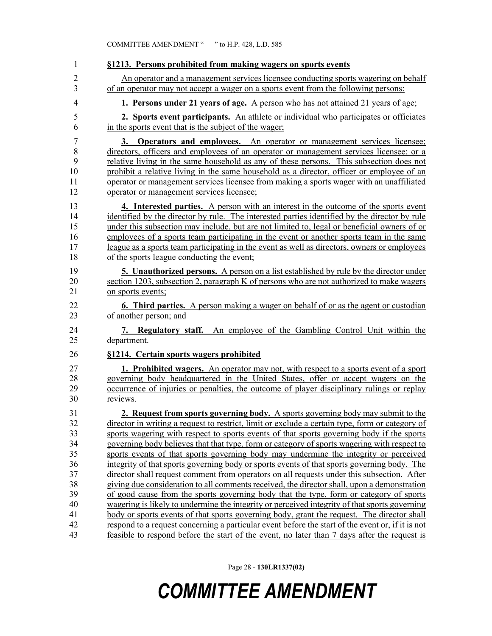| $\mathbf{1}$   | §1213. Persons prohibited from making wagers on sports events                                     |
|----------------|---------------------------------------------------------------------------------------------------|
| $\overline{2}$ | An operator and a management services licensee conducting sports wagering on behalf               |
| 3              | of an operator may not accept a wager on a sports event from the following persons:               |
| $\overline{4}$ | <b>1. Persons under 21 years of age.</b> A person who has not attained 21 years of age.           |
| 5              | 2. Sports event participants. An athlete or individual who participates or officiates             |
| 6              | in the sports event that is the subject of the wager;                                             |
| 7              | 3. Operators and employees. An operator or management services licensee;                          |
| 8              | directors, officers and employees of an operator or management services licensee; or a            |
| 9              | relative living in the same household as any of these persons. This subsection does not           |
| 10             | prohibit a relative living in the same household as a director, officer or employee of an         |
| 11             | operator or management services licensee from making a sports wager with an unaffiliated          |
| 12             | operator or management services licensee;                                                         |
| 13             | 4. Interested parties. A person with an interest in the outcome of the sports event               |
| 14             | identified by the director by rule. The interested parties identified by the director by rule     |
| 15             | under this subsection may include, but are not limited to, legal or beneficial owners of or       |
| 16             | employees of a sports team participating in the event or another sports team in the same          |
| 17             | league as a sports team participating in the event as well as directors, owners or employees      |
| 18             | of the sports league conducting the event;                                                        |
| 19             | <b>5. Unauthorized persons.</b> A person on a list established by rule by the director under      |
| 20             | section 1203, subsection 2, paragraph K of persons who are not authorized to make wagers          |
| 21             | on sports events;                                                                                 |
| 22             | <b>6. Third parties.</b> A person making a wager on behalf of or as the agent or custodian        |
| 23             | of another person; and                                                                            |
| 24             | 7. Regulatory staff. An employee of the Gambling Control Unit within the                          |
| 25             | department.                                                                                       |
| 26             | §1214. Certain sports wagers prohibited                                                           |
| 27             | 1. Prohibited wagers. An operator may not, with respect to a sports event of a sport              |
| 28             | governing body headquartered in the United States, offer or accept wagers on the                  |
| 29             | occurrence of injuries or penalties, the outcome of player disciplinary rulings or replay         |
| 30             | reviews.                                                                                          |
| 31             | 2. Request from sports governing body. A sports governing body may submit to the                  |
| 32             | director in writing a request to restrict, limit or exclude a certain type, form or category of   |
| 33             | sports wagering with respect to sports events of that sports governing body if the sports         |
| 34             | governing body believes that that type, form or category of sports wagering with respect to       |
| 35             | sports events of that sports governing body may undermine the integrity or perceived              |
| 36             | integrity of that sports governing body or sports events of that sports governing body. The       |
| 37             | director shall request comment from operators on all requests under this subsection. After        |
| 38             | giving due consideration to all comments received, the director shall, upon a demonstration       |
| 39             | of good cause from the sports governing body that the type, form or category of sports            |
| 40             | wagering is likely to undermine the integrity or perceived integrity of that sports governing     |
| 41             | body or sports events of that sports governing body, grant the request. The director shall        |
| 42             | respond to a request concerning a particular event before the start of the event or, if it is not |
| 43             | feasible to respond before the start of the event, no later than 7 days after the request is      |

Page 28 - **130LR1337(02)**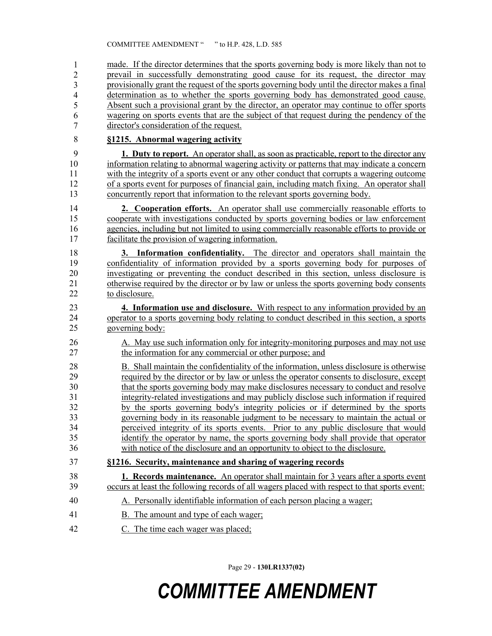made. If the director determines that the sports governing body is more likely than not to 45 prevail in successfully demonstrating good cause for its request, the director may 46 provisionally grant the request of the sports governing body until the director makes a final determination as to whether the sports governing body has demonstrated good cause. Absent such a provisional grant by the director, an operator may continue to offer sports wagering on sports events that are the subject of that request during the pendency of the director's consideration of the request. 1 2 3 4 5 6 7

#### 8 **§1215. Abnormal wagering activity**

9 **1. Duty to report.** An operator shall, as soon as practicable, report to the director any 10 information relating to abnormal wagering activity or patterns that may indicate a concern 11 with the integrity of a sports event or any other conduct that corrupts a wagering outcome 12 of a sports event for purposes of financial gain, including match fixing. An operator shall 13 concurrently report that information to the relevant sports governing body.

14 **2. Cooperation efforts.** An operator shall use commercially reasonable efforts to 15 cooperate with investigations conducted by sports governing bodies or law enforcement 16 agencies, including but not limited to using commercially reasonable efforts to provide or 17 facilitate the provision of wagering information.

18 **3. Information confidentiality.** The director and operators shall maintain the 19 confidentiality of information provided by a sports governing body for purposes of 20 investigating or preventing the conduct described in this section, unless disclosure is 21 otherwise required by the director or by law or unless the sports governing body consents 22 to disclosure.

- 23 **4. Information use and disclosure.** With respect to any information provided by an 24 operator to a sports governing body relating to conduct described in this section, a sports 25 governing body:
- 26 A. May use such information only for integrity-monitoring purposes and may not use 27 the information for any commercial or other purpose; and
- 28 B. Shall maintain the confidentiality of the information, unless disclosure is otherwise 29 required by the director or by law or unless the operator consents to disclosure, except 30 that the sports governing body may make disclosures necessary to conduct and resolve 31 integrity-related investigations and may publicly disclose such information if required 32 by the sports governing body's integrity policies or if determined by the sports 33 governing body in its reasonable judgment to be necessary to maintain the actual or 34 perceived integrity of its sports events. Prior to any public disclosure that would 35 identify the operator by name, the sports governing body shall provide that operator 36 with notice of the disclosure and an opportunity to object to the disclosure.
- 37 **§1216. Security, maintenance and sharing of wagering records**
- 38 **1. Records maintenance.** An operator shall maintain for 3 years after a sports event 39 occurs at least the following records of all wagers placed with respect to that sports event:
- 40 A. Personally identifiable information of each person placing a wager;
- 41 B. The amount and type of each wager;
- 42 C. The time each wager was placed;

Page 29 - **130LR1337(02)**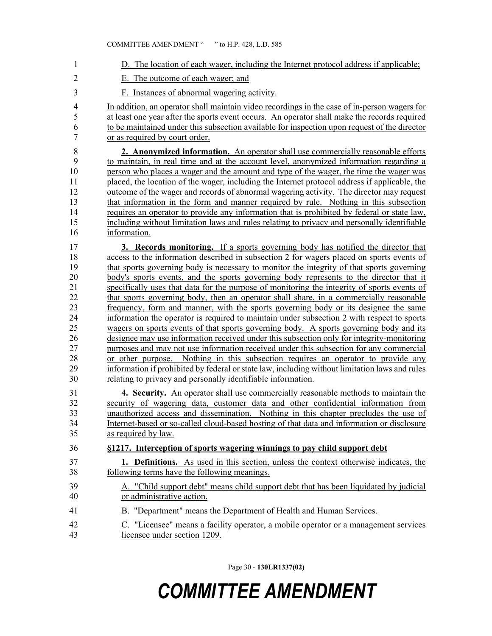| 1                                                        | D. The location of each wager, including the Internet protocol address if applicable;                                                                                                                                                                                                                                                                                                                                                                                                                                                                                                                                                                                                                                                                                   |
|----------------------------------------------------------|-------------------------------------------------------------------------------------------------------------------------------------------------------------------------------------------------------------------------------------------------------------------------------------------------------------------------------------------------------------------------------------------------------------------------------------------------------------------------------------------------------------------------------------------------------------------------------------------------------------------------------------------------------------------------------------------------------------------------------------------------------------------------|
| $\overline{2}$                                           | E. The outcome of each wager; and                                                                                                                                                                                                                                                                                                                                                                                                                                                                                                                                                                                                                                                                                                                                       |
| 3                                                        | F. Instances of abnormal wagering activity.                                                                                                                                                                                                                                                                                                                                                                                                                                                                                                                                                                                                                                                                                                                             |
| 4<br>5<br>6<br>7                                         | In addition, an operator shall maintain video recordings in the case of in-person wagers for<br>at least one year after the sports event occurs. An operator shall make the records required<br>to be maintained under this subsection available for inspection upon request of the director<br>or as required by court order.                                                                                                                                                                                                                                                                                                                                                                                                                                          |
| $\,$ $\,$<br>9<br>10<br>11<br>12<br>13<br>14<br>15<br>16 | 2. Anonymized information. An operator shall use commercially reasonable efforts<br>to maintain, in real time and at the account level, anonymized information regarding a<br>person who places a wager and the amount and type of the wager, the time the wager was<br>placed, the location of the wager, including the Internet protocol address if applicable, the<br>outcome of the wager and records of abnormal wagering activity. The director may request<br>that information in the form and manner required by rule. Nothing in this subsection<br>requires an operator to provide any information that is prohibited by federal or state law,<br>including without limitation laws and rules relating to privacy and personally identifiable<br>information. |
| 17                                                       | 3. Records monitoring. If a sports governing body has notified the director that                                                                                                                                                                                                                                                                                                                                                                                                                                                                                                                                                                                                                                                                                        |
| 18                                                       | access to the information described in subsection 2 for wagers placed on sports events of                                                                                                                                                                                                                                                                                                                                                                                                                                                                                                                                                                                                                                                                               |
| 19<br>20                                                 | that sports governing body is necessary to monitor the integrity of that sports governing<br>body's sports events, and the sports governing body represents to the director that it                                                                                                                                                                                                                                                                                                                                                                                                                                                                                                                                                                                     |
| 21                                                       | specifically uses that data for the purpose of monitoring the integrity of sports events of                                                                                                                                                                                                                                                                                                                                                                                                                                                                                                                                                                                                                                                                             |
| 22                                                       | that sports governing body, then an operator shall share, in a commercially reasonable                                                                                                                                                                                                                                                                                                                                                                                                                                                                                                                                                                                                                                                                                  |
| 23                                                       | frequency, form and manner, with the sports governing body or its designee the same                                                                                                                                                                                                                                                                                                                                                                                                                                                                                                                                                                                                                                                                                     |
| 24                                                       | information the operator is required to maintain under subsection 2 with respect to sports                                                                                                                                                                                                                                                                                                                                                                                                                                                                                                                                                                                                                                                                              |
| 25                                                       | wagers on sports events of that sports governing body. A sports governing body and its                                                                                                                                                                                                                                                                                                                                                                                                                                                                                                                                                                                                                                                                                  |
| 26                                                       | designee may use information received under this subsection only for integrity-monitoring                                                                                                                                                                                                                                                                                                                                                                                                                                                                                                                                                                                                                                                                               |
| 27                                                       | purposes and may not use information received under this subsection for any commercial                                                                                                                                                                                                                                                                                                                                                                                                                                                                                                                                                                                                                                                                                  |
| 28                                                       | or other purpose. Nothing in this subsection requires an operator to provide any                                                                                                                                                                                                                                                                                                                                                                                                                                                                                                                                                                                                                                                                                        |
| 29                                                       | information if prohibited by federal or state law, including without limitation laws and rules                                                                                                                                                                                                                                                                                                                                                                                                                                                                                                                                                                                                                                                                          |
| 30                                                       | relating to privacy and personally identifiable information.                                                                                                                                                                                                                                                                                                                                                                                                                                                                                                                                                                                                                                                                                                            |
| 31<br>32<br>33<br>34<br>35                               | 4. Security. An operator shall use commercially reasonable methods to maintain the<br>security of wagering data, customer data and other confidential information from<br>unauthorized access and dissemination. Nothing in this chapter precludes the use of<br>Internet-based or so-called cloud-based hosting of that data and information or disclosure<br>as required by law.                                                                                                                                                                                                                                                                                                                                                                                      |
| 36                                                       | §1217. Interception of sports wagering winnings to pay child support debt                                                                                                                                                                                                                                                                                                                                                                                                                                                                                                                                                                                                                                                                                               |
| 37<br>38                                                 | 1. Definitions. As used in this section, unless the context otherwise indicates, the<br>following terms have the following meanings.                                                                                                                                                                                                                                                                                                                                                                                                                                                                                                                                                                                                                                    |
| 39<br>40                                                 | A. "Child support debt" means child support debt that has been liquidated by judicial<br>or administrative action.                                                                                                                                                                                                                                                                                                                                                                                                                                                                                                                                                                                                                                                      |
| 41                                                       | B. "Department" means the Department of Health and Human Services.                                                                                                                                                                                                                                                                                                                                                                                                                                                                                                                                                                                                                                                                                                      |
| 42<br>43                                                 | C. "Licensee" means a facility operator, a mobile operator or a management services<br>licensee under section 1209.                                                                                                                                                                                                                                                                                                                                                                                                                                                                                                                                                                                                                                                     |

Page 30 - **130LR1337(02)**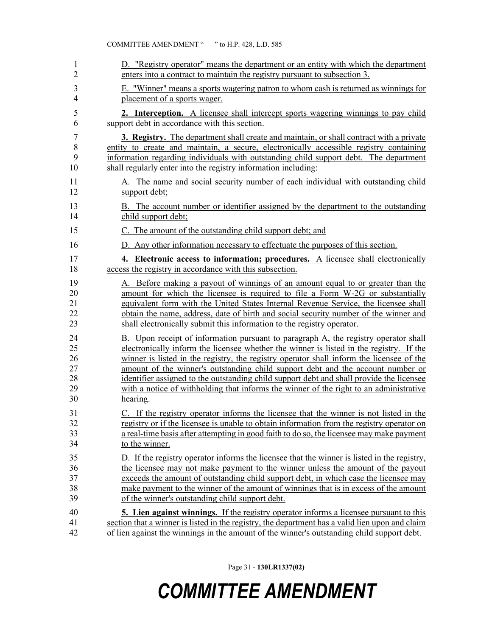| 1              | D. "Registry operator" means the department or an entity with which the department              |
|----------------|-------------------------------------------------------------------------------------------------|
| 2              | enters into a contract to maintain the registry pursuant to subsection 3.                       |
| 3              | E. "Winner" means a sports wagering patron to whom cash is returned as winnings for             |
| $\overline{4}$ | placement of a sports wager.                                                                    |
| 5              | <b>2.</b> Interception. A licensee shall intercept sports wagering winnings to pay child        |
| 6              | support debt in accordance with this section.                                                   |
| $\overline{7}$ | <b>3. Registry.</b> The department shall create and maintain, or shall contract with a private  |
| 8              | entity to create and maintain, a secure, electronically accessible registry containing          |
| 9              | information regarding individuals with outstanding child support debt. The department           |
| 10             | shall regularly enter into the registry information including:                                  |
| 11             | A. The name and social security number of each individual with outstanding child                |
| 12             | support debt;                                                                                   |
| 13             | B. The account number or identifier assigned by the department to the outstanding               |
| 14             | child support debt;                                                                             |
| 15             | C. The amount of the outstanding child support debt; and                                        |
| 16             | D. Any other information necessary to effectuate the purposes of this section.                  |
| 17             | 4. Electronic access to information; procedures. A licensee shall electronically                |
| 18             | access the registry in accordance with this subsection.                                         |
| 19             | A. Before making a payout of winnings of an amount equal to or greater than the                 |
| 20             | amount for which the licensee is required to file a Form W-2G or substantially                  |
| 21             | equivalent form with the United States Internal Revenue Service, the licensee shall             |
| 22             | obtain the name, address, date of birth and social security number of the winner and            |
| 23             | shall electronically submit this information to the registry operator.                          |
| 24             | B. Upon receipt of information pursuant to paragraph A, the registry operator shall             |
| 25             | electronically inform the licensee whether the winner is listed in the registry. If the         |
| 26             | winner is listed in the registry, the registry operator shall inform the licensee of the        |
| 27             | amount of the winner's outstanding child support debt and the account number or                 |
| 28             | identifier assigned to the outstanding child support debt and shall provide the licensee        |
| 29             | with a notice of withholding that informs the winner of the right to an administrative          |
| 30             | hearing.                                                                                        |
| 31             | C. If the registry operator informs the licensee that the winner is not listed in the           |
| 32             | registry or if the licensee is unable to obtain information from the registry operator on       |
| 33             | a real-time basis after attempting in good faith to do so, the licensee may make payment        |
| 34             | to the winner.                                                                                  |
| 35             | D. If the registry operator informs the licensee that the winner is listed in the registry,     |
| 36             | the licensee may not make payment to the winner unless the amount of the payout                 |
| 37             | exceeds the amount of outstanding child support debt, in which case the licensee may            |
| 38             | make payment to the winner of the amount of winnings that is in excess of the amount            |
| 39             | of the winner's outstanding child support debt.                                                 |
| 40             | <b>5. Lien against winnings.</b> If the registry operator informs a licensee pursuant to this   |
| 41             | section that a winner is listed in the registry, the department has a valid lien upon and claim |
| 42             | of lien against the winnings in the amount of the winner's outstanding child support debt.      |

Page 31 - **130LR1337(02)**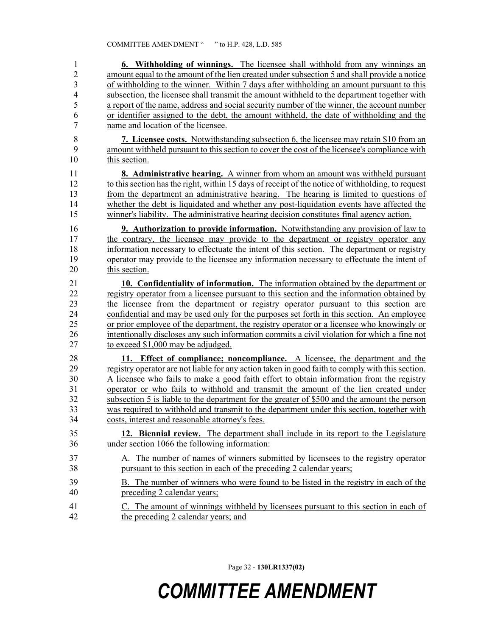| $\mathbf{1}$   | <b>6. Withholding of winnings.</b> The licensee shall withhold from any winnings an               |
|----------------|---------------------------------------------------------------------------------------------------|
| $\overline{c}$ | amount equal to the amount of the lien created under subsection 5 and shall provide a notice      |
| 3              | of withholding to the winner. Within 7 days after withholding an amount pursuant to this          |
| $\overline{4}$ | subsection, the licensee shall transmit the amount withheld to the department together with       |
| 5              | a report of the name, address and social security number of the winner, the account number        |
| 6              | or identifier assigned to the debt, the amount withheld, the date of withholding and the          |
| $\overline{7}$ | name and location of the licensee.                                                                |
| $\,$ $\,$      | 7. Licensee costs. Notwithstanding subsection 6, the licensee may retain \$10 from an             |
| 9              | amount withheld pursuant to this section to cover the cost of the licensee's compliance with      |
| 10             | this section.                                                                                     |
| 11             | 8. Administrative hearing. A winner from whom an amount was withheld pursuant                     |
| 12             | to this section has the right, within 15 days of receipt of the notice of withholding, to request |
| 13             | from the department an administrative hearing. The hearing is limited to questions of             |
| 14             | whether the debt is liquidated and whether any post-liquidation events have affected the          |
| 15             | winner's liability. The administrative hearing decision constitutes final agency action.          |
| 16             | <b>9. Authorization to provide information.</b> Notwithstanding any provision of law to           |
| 17             | the contrary, the licensee may provide to the department or registry operator any                 |
| 18             | information necessary to effectuate the intent of this section. The department or registry        |
| 19             | operator may provide to the licensee any information necessary to effectuate the intent of        |
| 20             | this section.                                                                                     |
| 21             | 10. Confidentiality of information. The information obtained by the department or                 |
| 22             | registry operator from a licensee pursuant to this section and the information obtained by        |
| 23             | the licensee from the department or registry operator pursuant to this section are                |
| 24             | confidential and may be used only for the purposes set forth in this section. An employee         |
| 25             | or prior employee of the department, the registry operator or a licensee who knowingly or         |
| 26             | intentionally discloses any such information commits a civil violation for which a fine not       |
| 27             | to exceed \$1,000 may be adjudged.                                                                |
| 28             | 11. Effect of compliance; noncompliance. A licensee, the department and the                       |
| 29             | registry operator are not liable for any action taken in good faith to comply with this section.  |
| 30             | A licensee who fails to make a good faith effort to obtain information from the registry          |
| 31             | operator or who fails to withhold and transmit the amount of the lien created under               |
| 32             | subsection 5 is liable to the department for the greater of \$500 and the amount the person       |
| 33             | was required to withhold and transmit to the department under this section, together with         |
| 34             | costs, interest and reasonable attorney's fees.                                                   |
| 35             | 12. Biennial review. The department shall include in its report to the Legislature                |
| 36             | under section 1066 the following information:                                                     |
| 37             | A. The number of names of winners submitted by licensees to the registry operator                 |
| 38             | pursuant to this section in each of the preceding 2 calendar years;                               |
| 39             | B. The number of winners who were found to be listed in the registry in each of the               |
| 40             | preceding 2 calendar years;                                                                       |
| 41             | C. The amount of winnings withheld by licensees pursuant to this section in each of               |
| 42             | the preceding 2 calendar years; and                                                               |
|                |                                                                                                   |

Page 32 - **130LR1337(02)**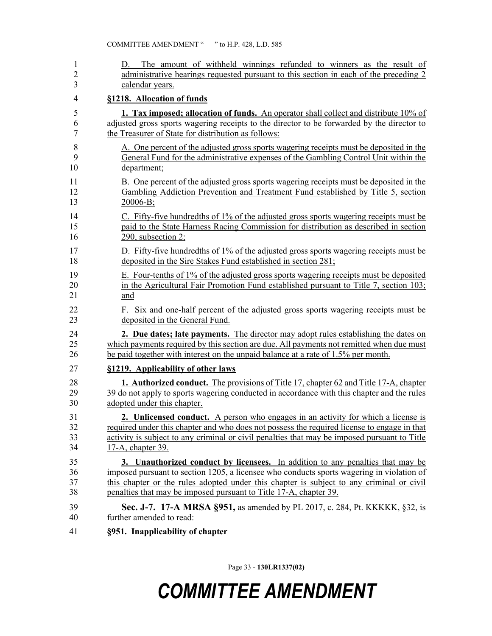| 1<br>$\overline{2}$<br>3 | The amount of withheld winnings refunded to winners as the result of<br>D.<br>administrative hearings requested pursuant to this section in each of the preceding 2<br>calendar years. |
|--------------------------|----------------------------------------------------------------------------------------------------------------------------------------------------------------------------------------|
| 4                        | §1218. Allocation of funds                                                                                                                                                             |
| 5                        | <b>1. Tax imposed; allocation of funds.</b> An operator shall collect and distribute 10% of                                                                                            |
| 6                        | adjusted gross sports wagering receipts to the director to be forwarded by the director to                                                                                             |
| $\tau$                   | the Treasurer of State for distribution as follows:                                                                                                                                    |
| 8                        | A. One percent of the adjusted gross sports wagering receipts must be deposited in the                                                                                                 |
| 9                        | General Fund for the administrative expenses of the Gambling Control Unit within the                                                                                                   |
| 10                       | department;                                                                                                                                                                            |
| 11                       | B. One percent of the adjusted gross sports wagering receipts must be deposited in the                                                                                                 |
| 12                       | Gambling Addiction Prevention and Treatment Fund established by Title 5, section                                                                                                       |
| 13                       | $20006-B;$                                                                                                                                                                             |
| 14                       | C. Fifty-five hundredths of 1% of the adjusted gross sports wagering receipts must be                                                                                                  |
| 15                       | paid to the State Harness Racing Commission for distribution as described in section                                                                                                   |
| 16                       | 290, subsection 2;                                                                                                                                                                     |
| 17                       | D. Fifty-five hundredths of 1% of the adjusted gross sports wagering receipts must be                                                                                                  |
| 18                       | deposited in the Sire Stakes Fund established in section 281;                                                                                                                          |
| 19                       | E. Four-tenths of 1% of the adjusted gross sports wagering receipts must be deposited                                                                                                  |
| 20                       | in the Agricultural Fair Promotion Fund established pursuant to Title 7, section 103;                                                                                                  |
| 21                       | and                                                                                                                                                                                    |
| 22                       | F. Six and one-half percent of the adjusted gross sports wagering receipts must be                                                                                                     |
| 23                       | deposited in the General Fund.                                                                                                                                                         |
| 24                       | 2. Due dates; late payments. The director may adopt rules establishing the dates on                                                                                                    |
| 25                       | which payments required by this section are due. All payments not remitted when due must                                                                                               |
| 26                       | be paid together with interest on the unpaid balance at a rate of 1.5% per month.                                                                                                      |
| 27                       | §1219. Applicability of other laws                                                                                                                                                     |
| 28                       | <b>1. Authorized conduct.</b> The provisions of Title 17, chapter 62 and Title 17-A, chapter                                                                                           |
| 29                       | 39 do not apply to sports wagering conducted in accordance with this chapter and the rules                                                                                             |
| 30                       | adopted under this chapter.                                                                                                                                                            |
| 31                       | 2. Unlicensed conduct. A person who engages in an activity for which a license is                                                                                                      |
| 32                       | required under this chapter and who does not possess the required license to engage in that                                                                                            |
| 33                       | activity is subject to any criminal or civil penalties that may be imposed pursuant to Title                                                                                           |
| 34                       | 17-A, chapter 39.                                                                                                                                                                      |
| 35                       | 3. Unauthorized conduct by licenses. In addition to any penalties that may be                                                                                                          |
| 36                       | imposed pursuant to section 1205, a licensee who conducts sports wagering in violation of                                                                                              |
| 37                       | this chapter or the rules adopted under this chapter is subject to any criminal or civil                                                                                               |
| 38                       | penalties that may be imposed pursuant to Title 17-A, chapter 39.                                                                                                                      |
| 39                       | Sec. J-7. 17-A MRSA §951, as amended by PL 2017, c. 284, Pt. KKKKK, §32, is                                                                                                            |
| 40                       | further amended to read:                                                                                                                                                               |
| 41                       | §951. Inapplicability of chapter                                                                                                                                                       |
|                          |                                                                                                                                                                                        |

Page 33 - **130LR1337(02)**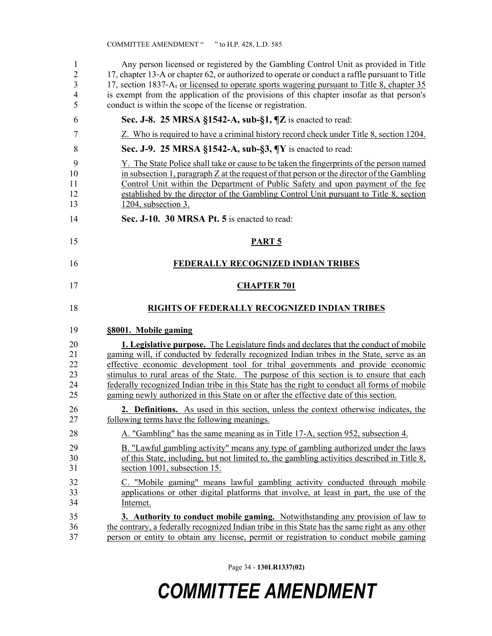| 1<br>$\overline{2}$<br>3<br>4<br>5 | Any person licensed or registered by the Gambling Control Unit as provided in Title<br>17, chapter 13-A or chapter 62, or authorized to operate or conduct a raffle pursuant to Title<br>17, section 1837-A <sub>7</sub> or licensed to operate sports wagering pursuant to Title 8, chapter 35<br>is exempt from the application of the provisions of this chapter insofar as that person's<br>conduct is within the scope of the license or registration.                                                                                                       |
|------------------------------------|-------------------------------------------------------------------------------------------------------------------------------------------------------------------------------------------------------------------------------------------------------------------------------------------------------------------------------------------------------------------------------------------------------------------------------------------------------------------------------------------------------------------------------------------------------------------|
| 6                                  | Sec. J-8. 25 MRSA §1542-A, sub-§1, $\P$ Z is enacted to read:                                                                                                                                                                                                                                                                                                                                                                                                                                                                                                     |
| 7                                  | Z. Who is required to have a criminal history record check under Title 8, section 1204.                                                                                                                                                                                                                                                                                                                                                                                                                                                                           |
| 8                                  | Sec. J-9. 25 MRSA §1542-A, sub-§3, ¶Y is enacted to read:                                                                                                                                                                                                                                                                                                                                                                                                                                                                                                         |
| 9<br>10<br>11<br>12<br>13          | Y. The State Police shall take or cause to be taken the fingerprints of the person named<br>in subsection 1, paragraph Z at the request of that person or the director of the Gambling<br>Control Unit within the Department of Public Safety and upon payment of the fee<br>established by the director of the Gambling Control Unit pursuant to Title 8, section<br>1204, subsection 3.                                                                                                                                                                         |
| 14                                 | Sec. J-10. 30 MRSA Pt. 5 is enacted to read:                                                                                                                                                                                                                                                                                                                                                                                                                                                                                                                      |
| 15                                 | PART <sub>5</sub>                                                                                                                                                                                                                                                                                                                                                                                                                                                                                                                                                 |
| 16                                 | FEDERALLY RECOGNIZED INDIAN TRIBES                                                                                                                                                                                                                                                                                                                                                                                                                                                                                                                                |
| 17                                 | <b>CHAPTER 701</b>                                                                                                                                                                                                                                                                                                                                                                                                                                                                                                                                                |
| 18                                 | RIGHTS OF FEDERALLY RECOGNIZED INDIAN TRIBES                                                                                                                                                                                                                                                                                                                                                                                                                                                                                                                      |
| 19                                 | §8001. Mobile gaming                                                                                                                                                                                                                                                                                                                                                                                                                                                                                                                                              |
| 20<br>21<br>22<br>23<br>24<br>25   | <b>1. Legislative purpose.</b> The Legislature finds and declares that the conduct of mobile<br>gaming will, if conducted by federally recognized Indian tribes in the State, serve as an<br>effective economic development tool for tribal governments and provide economic<br>stimulus to rural areas of the State. The purpose of this section is to ensure that each<br>federally recognized Indian tribe in this State has the right to conduct all forms of mobile<br>gaming newly authorized in this State on or after the effective date of this section. |
| 26<br>27                           | 2. Definitions. As used in this section, unless the context otherwise indicates, the<br>following terms have the following meanings.                                                                                                                                                                                                                                                                                                                                                                                                                              |
| 28                                 | A. "Gambling" has the same meaning as in Title 17-A, section 952, subsection 4.                                                                                                                                                                                                                                                                                                                                                                                                                                                                                   |
| 29<br>30                           |                                                                                                                                                                                                                                                                                                                                                                                                                                                                                                                                                                   |
| 31                                 | B. "Lawful gambling activity" means any type of gambling authorized under the laws<br>of this State, including, but not limited to, the gambling activities described in Title 8,<br>section 1001, subsection 15.                                                                                                                                                                                                                                                                                                                                                 |
| 32<br>33<br>34                     | C. "Mobile gaming" means lawful gambling activity conducted through mobile<br>applications or other digital platforms that involve, at least in part, the use of the<br>Internet.                                                                                                                                                                                                                                                                                                                                                                                 |

Page 34 - **130LR1337(02)**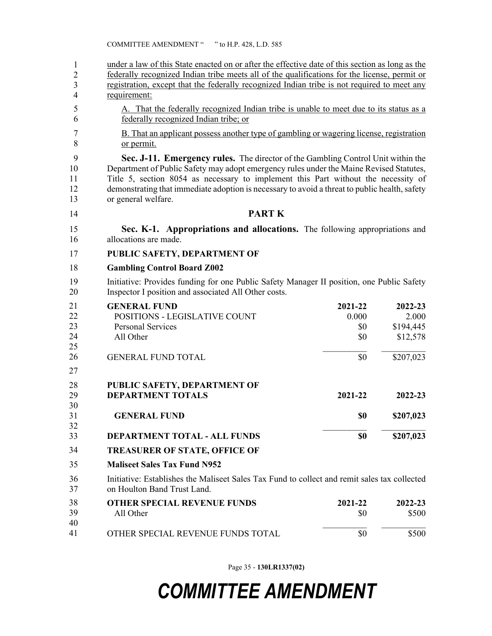| 1<br>$\overline{2}$<br>$\overline{\mathbf{3}}$<br>4 | under a law of this State enacted on or after the effective date of this section as long as the<br>federally recognized Indian tribe meets all of the qualifications for the license, permit or<br>registration, except that the federally recognized Indian tribe is not required to meet any<br>requirement:                                                                            |                                       |                                                        |  |  |
|-----------------------------------------------------|-------------------------------------------------------------------------------------------------------------------------------------------------------------------------------------------------------------------------------------------------------------------------------------------------------------------------------------------------------------------------------------------|---------------------------------------|--------------------------------------------------------|--|--|
| 5<br>6                                              | A. That the federally recognized Indian tribe is unable to meet due to its status as a<br>federally recognized Indian tribe; or                                                                                                                                                                                                                                                           |                                       |                                                        |  |  |
| $\boldsymbol{7}$<br>8                               | B. That an applicant possess another type of gambling or wagering license, registration<br>or permit.                                                                                                                                                                                                                                                                                     |                                       |                                                        |  |  |
| 9<br>10<br>11<br>12<br>13                           | Sec. J-11. Emergency rules. The director of the Gambling Control Unit within the<br>Department of Public Safety may adopt emergency rules under the Maine Revised Statutes,<br>Title 5, section 8054 as necessary to implement this Part without the necessity of<br>demonstrating that immediate adoption is necessary to avoid a threat to public health, safety<br>or general welfare. |                                       |                                                        |  |  |
| 14                                                  | <b>PART K</b>                                                                                                                                                                                                                                                                                                                                                                             |                                       |                                                        |  |  |
| 15<br>16                                            | Sec. K-1. Appropriations and allocations. The following appropriations and<br>allocations are made.                                                                                                                                                                                                                                                                                       |                                       |                                                        |  |  |
| 17                                                  | PUBLIC SAFETY, DEPARTMENT OF                                                                                                                                                                                                                                                                                                                                                              |                                       |                                                        |  |  |
| 18                                                  | <b>Gambling Control Board Z002</b>                                                                                                                                                                                                                                                                                                                                                        |                                       |                                                        |  |  |
| 19<br>20                                            | Initiative: Provides funding for one Public Safety Manager II position, one Public Safety<br>Inspector I position and associated All Other costs.                                                                                                                                                                                                                                         |                                       |                                                        |  |  |
| 21<br>22<br>23<br>24<br>25<br>26                    | <b>GENERAL FUND</b><br>POSITIONS - LEGISLATIVE COUNT<br><b>Personal Services</b><br>All Other<br><b>GENERAL FUND TOTAL</b>                                                                                                                                                                                                                                                                | 2021-22<br>0.000<br>\$0<br>\$0<br>\$0 | 2022-23<br>2.000<br>\$194,445<br>\$12,578<br>\$207,023 |  |  |
| 27                                                  |                                                                                                                                                                                                                                                                                                                                                                                           |                                       |                                                        |  |  |
| 28<br>29<br>30                                      | PUBLIC SAFETY, DEPARTMENT OF<br><b>DEPARTMENT TOTALS</b>                                                                                                                                                                                                                                                                                                                                  | 2021-22                               | 2022-23                                                |  |  |
| 31<br>32                                            | <b>GENERAL FUND</b>                                                                                                                                                                                                                                                                                                                                                                       | \$0                                   | \$207,023                                              |  |  |
| 33                                                  | DEPARTMENT TOTAL - ALL FUNDS                                                                                                                                                                                                                                                                                                                                                              | \$0                                   | \$207,023                                              |  |  |
| 34                                                  | <b>TREASURER OF STATE, OFFICE OF</b>                                                                                                                                                                                                                                                                                                                                                      |                                       |                                                        |  |  |
| 35                                                  | <b>Maliseet Sales Tax Fund N952</b>                                                                                                                                                                                                                                                                                                                                                       |                                       |                                                        |  |  |
| 36<br>37                                            | Initiative: Establishes the Maliseet Sales Tax Fund to collect and remit sales tax collected<br>on Houlton Band Trust Land.                                                                                                                                                                                                                                                               |                                       |                                                        |  |  |
| 38<br>39<br>40                                      | <b>OTHER SPECIAL REVENUE FUNDS</b><br>All Other                                                                                                                                                                                                                                                                                                                                           | 2021-22<br>\$0                        | 2022-23<br>\$500                                       |  |  |
| 41                                                  | OTHER SPECIAL REVENUE FUNDS TOTAL                                                                                                                                                                                                                                                                                                                                                         | \$0                                   | \$500                                                  |  |  |

Page 35 - **130LR1337(02)**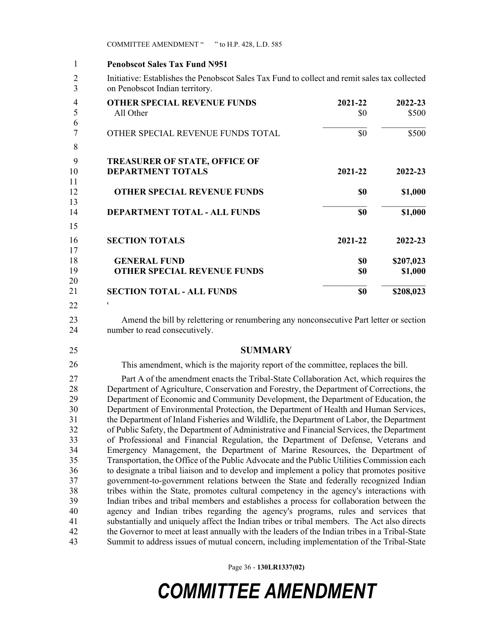COMMITTEE AMENDMENT " " to H.P. 428, L.D. 585

#### 1 **Penobscot Sales Tax Fund N951** 1

2 Initiative: Establishes the Penobscot Sales Tax Fund to collect and remit sales tax collected 3 on Penobscot Indian territory.

| <b>OTHER SPECIAL REVENUE FUNDS</b>   | 2021-22 | 2022-23   |
|--------------------------------------|---------|-----------|
| All Other                            | \$0     | \$500     |
| OTHER SPECIAL REVENUE FUNDS TOTAL    | \$0     | \$500     |
|                                      |         |           |
| <b>TREASURER OF STATE, OFFICE OF</b> |         |           |
| <b>DEPARTMENT TOTALS</b>             | 2021-22 | 2022-23   |
|                                      |         |           |
| <b>OTHER SPECIAL REVENUE FUNDS</b>   | \$0     | \$1,000   |
|                                      |         |           |
| <b>DEPARTMENT TOTAL - ALL FUNDS</b>  | \$0     | \$1,000   |
|                                      |         |           |
| <b>SECTION TOTALS</b>                | 2021-22 | 2022-23   |
|                                      |         |           |
| <b>GENERAL FUND</b>                  | \$0     | \$207,023 |
| <b>OTHER SPECIAL REVENUE FUNDS</b>   | \$0     | \$1,000   |
|                                      |         |           |
| <b>SECTION TOTAL - ALL FUNDS</b>     | \$0     | \$208,023 |
|                                      |         |           |
|                                      |         |           |

23 Amend the bill by relettering or renumbering any nonconsecutive Part letter or section 24 number to read consecutively.

26

25 **SUMMARY**

This amendment, which is the majority report of the committee, replaces the bill.

27 Part A of the amendment enacts the Tribal-State Collaboration Act, which requires the 28 Department of Agriculture, Conservation and Forestry, the Department of Corrections, the 29 Department of Economic and Community Development, the Department of Education, the 30 Department of Environmental Protection, the Department of Health and Human Services, 31 the Department of Inland Fisheries and Wildlife, the Department of Labor, the Department 32 of Public Safety, the Department of Administrative and Financial Services, the Department 33 of Professional and Financial Regulation, the Department of Defense, Veterans and 34 Emergency Management, the Department of Marine Resources, the Department of 35 Transportation, the Office of the Public Advocate and the Public Utilities Commission each 36 to designate a tribal liaison and to develop and implement a policy that promotes positive 37 government-to-government relations between the State and federally recognized Indian 38 tribes within the State, promotes cultural competency in the agency's interactions with 39 Indian tribes and tribal members and establishes a process for collaboration between the 40 agency and Indian tribes regarding the agency's programs, rules and services that 41 substantially and uniquely affect the Indian tribes or tribal members. The Act also directs 42 the Governor to meet at least annually with the leaders of the Indian tribes in a Tribal-State 43 Summit to address issues of mutual concern, including implementation of the Tribal-State

Page 36 - **130LR1337(02)**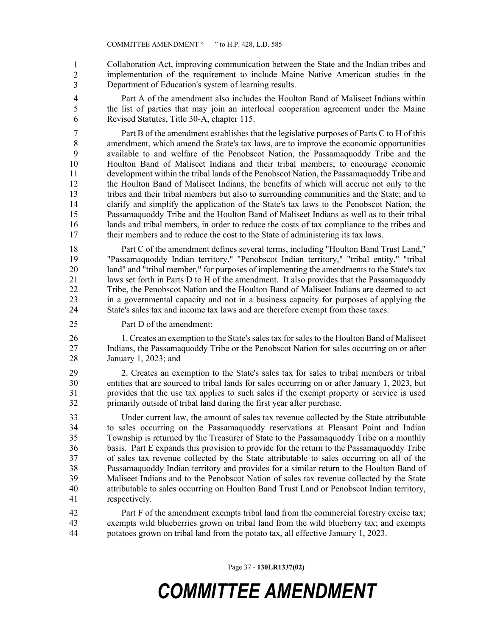44 Collaboration Act, improving communication between the State and the Indian tribes and implementation of the requirement to include Maine Native American studies in the Department of Education's system of learning results. 1 2 3

4 Part A of the amendment also includes the Houlton Band of Maliseet Indians within 5 the list of parties that may join an interlocal cooperation agreement under the Maine 6 Revised Statutes, Title 30-A, chapter 115.

7 Part B of the amendment establishes that the legislative purposes of Parts C to H of this 8 amendment, which amend the State's tax laws, are to improve the economic opportunities 9 available to and welfare of the Penobscot Nation, the Passamaquoddy Tribe and the 10 Houlton Band of Maliseet Indians and their tribal members; to encourage economic 11 development within the tribal lands of the Penobscot Nation, the Passamaquoddy Tribe and 12 the Houlton Band of Maliseet Indians, the benefits of which will accrue not only to the 13 tribes and their tribal members but also to surrounding communities and the State; and to 14 clarify and simplify the application of the State's tax laws to the Penobscot Nation, the 15 Passamaquoddy Tribe and the Houlton Band of Maliseet Indians as well as to their tribal 16 lands and tribal members, in order to reduce the costs of tax compliance to the tribes and 17 their members and to reduce the cost to the State of administering its tax laws.

18 Part C of the amendment defines several terms, including "Houlton Band Trust Land," 19 "Passamaquoddy Indian territory," "Penobscot Indian territory," "tribal entity," "tribal 20 land" and "tribal member," for purposes of implementing the amendments to the State's tax 21 laws set forth in Parts D to H of the amendment. It also provides that the Passamaquoddy 22 Tribe, the Penobscot Nation and the Houlton Band of Maliseet Indians are deemed to act 23 in a governmental capacity and not in a business capacity for purposes of applying the 24 State's sales tax and income tax laws and are therefore exempt from these taxes.

25 Part D of the amendment:

26 1. Creates an exemption to the State's sales tax for sales to the Houlton Band of Maliseet 27 Indians, the Passamaquoddy Tribe or the Penobscot Nation for sales occurring on or after 28 January 1, 2023; and

29 2. Creates an exemption to the State's sales tax for sales to tribal members or tribal 30 entities that are sourced to tribal lands for sales occurring on or after January 1, 2023, but 31 provides that the use tax applies to such sales if the exempt property or service is used 32 primarily outside of tribal land during the first year after purchase.

33 Under current law, the amount of sales tax revenue collected by the State attributable 34 to sales occurring on the Passamaquoddy reservations at Pleasant Point and Indian 35 Township is returned by the Treasurer of State to the Passamaquoddy Tribe on a monthly 36 basis. Part E expands this provision to provide for the return to the Passamaquoddy Tribe 37 of sales tax revenue collected by the State attributable to sales occurring on all of the 38 Passamaquoddy Indian territory and provides for a similar return to the Houlton Band of 39 Maliseet Indians and to the Penobscot Nation of sales tax revenue collected by the State 40 attributable to sales occurring on Houlton Band Trust Land or Penobscot Indian territory, 41 respectively.

42 Part F of the amendment exempts tribal land from the commercial forestry excise tax; 43 exempts wild blueberries grown on tribal land from the wild blueberry tax; and exempts 44 potatoes grown on tribal land from the potato tax, all effective January 1, 2023.

Page 37 - **130LR1337(02)**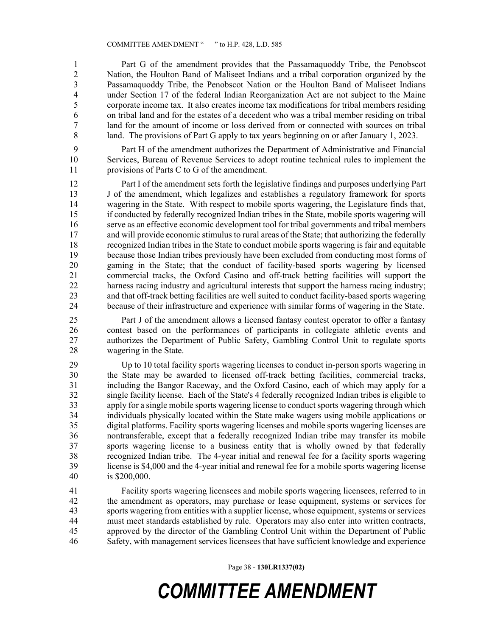1 Part G of the amendment provides that the Passamaquoddy Tribe, the Penobscot 2 Nation, the Houlton Band of Maliseet Indians and a tribal corporation organized by the<br>2 Passamaguoddy Tribe, the Penobscot Nation or the Houlton Band of Maliseet Indians Passamaquoddy Tribe, the Penobscot Nation or the Houlton Band of Maliseet Indians 4 under Section 17 of the federal Indian Reorganization Act are not subject to the Maine 5 corporate income tax. It also creates income tax modifications for tribal members residing 6 on tribal land and for the estates of a decedent who was a tribal member residing on tribal 7 land for the amount of income or loss derived from or connected with sources on tribal 8 land. The provisions of Part G apply to tax years beginning on or after January 1, 2023.

9 Part H of the amendment authorizes the Department of Administrative and Financial 10 Services, Bureau of Revenue Services to adopt routine technical rules to implement the 11 provisions of Parts C to G of the amendment.

12 Part I of the amendment sets forth the legislative findings and purposes underlying Part 13 J of the amendment, which legalizes and establishes a regulatory framework for sports 14 wagering in the State. With respect to mobile sports wagering, the Legislature finds that, 15 if conducted by federally recognized Indian tribes in the State, mobile sports wagering will 16 serve as an effective economic development tool for tribal governments and tribal members 17 and will provide economic stimulus to rural areas of the State; that authorizing the federally 18 recognized Indian tribes in the State to conduct mobile sports wagering is fair and equitable 19 because those Indian tribes previously have been excluded from conducting most forms of 20 gaming in the State; that the conduct of facility-based sports wagering by licensed 21 commercial tracks, the Oxford Casino and off-track betting facilities will support the 22 harness racing industry and agricultural interests that support the harness racing industry; 23 and that off-track betting facilities are well suited to conduct facility-based sports wagering 24 because of their infrastructure and experience with similar forms of wagering in the State.

25 Part J of the amendment allows a licensed fantasy contest operator to offer a fantasy 26 contest based on the performances of participants in collegiate athletic events and 27 authorizes the Department of Public Safety, Gambling Control Unit to regulate sports 28 wagering in the State.

29 Up to 10 total facility sports wagering licenses to conduct in-person sports wagering in 30 the State may be awarded to licensed off-track betting facilities, commercial tracks, 31 including the Bangor Raceway, and the Oxford Casino, each of which may apply for a 32 single facility license. Each of the State's 4 federally recognized Indian tribes is eligible to 33 apply for a single mobile sports wagering license to conduct sports wagering through which 34 individuals physically located within the State make wagers using mobile applications or 35 digital platforms. Facility sports wagering licenses and mobile sports wagering licenses are 36 nontransferable, except that a federally recognized Indian tribe may transfer its mobile 37 sports wagering license to a business entity that is wholly owned by that federally 38 recognized Indian tribe. The 4-year initial and renewal fee for a facility sports wagering 39 license is \$4,000 and the 4-year initial and renewal fee for a mobile sports wagering license 40 is \$200,000.

41 Facility sports wagering licensees and mobile sports wagering licensees, referred to in 42 the amendment as operators, may purchase or lease equipment, systems or services for 43 sports wagering from entities with a supplier license, whose equipment, systems or services 44 must meet standards established by rule. Operators may also enter into written contracts, 45 approved by the director of the Gambling Control Unit within the Department of Public 46 Safety, with management services licensees that have sufficient knowledge and experience

Page 38 - **130LR1337(02)**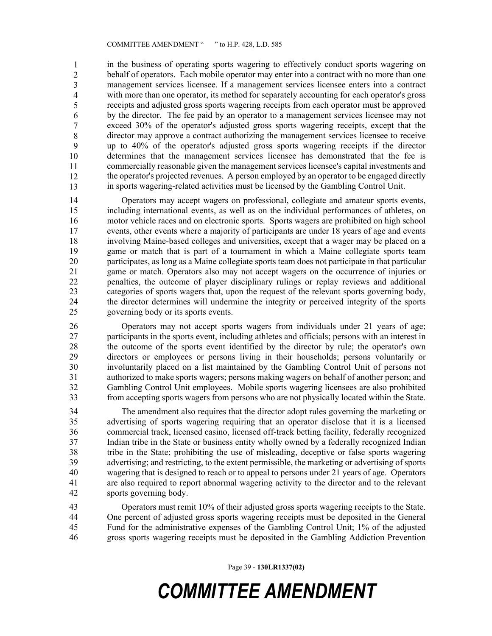in the business of operating sports wagering to effectively conduct sports wagering on behalf of operators. Each mobile operator may enter into a contract with no more than one management services licensee. If a management services licensee enters into a contract with more than one operator, its method for separately accounting for each operator's gross 51 receipts and adjusted gross sports wagering receipts from each operator must be approved by the director. The fee paid by an operator to a management services licensee may not 53 exceed 30% of the operator's adjusted gross sports wagering receipts, except that the 54 director may approve a contract authorizing the management services licensee to receive 55 up to 40% of the operator's adjusted gross sports wagering receipts if the director 56 determines that the management services licensee has demonstrated that the fee is commercially reasonable given the management services licensee's capital investments and the operator's projected revenues. A person employed by an operator to be engaged directly 59 in sports wagering-related activities must be licensed by the Gambling Control Unit. 1 2 3 4 5 6 7 8 9 10 11 12 13

14 Operators may accept wagers on professional, collegiate and amateur sports events, 15 including international events, as well as on the individual performances of athletes, on 16 motor vehicle races and on electronic sports. Sports wagers are prohibited on high school 17 events, other events where a majority of participants are under 18 years of age and events 18 involving Maine-based colleges and universities, except that a wager may be placed on a 19 game or match that is part of a tournament in which a Maine collegiate sports team 20 participates, as long as a Maine collegiate sports team does not participate in that particular 21 game or match. Operators also may not accept wagers on the occurrence of injuries or 22 penalties, the outcome of player disciplinary rulings or replay reviews and additional 23 categories of sports wagers that, upon the request of the relevant sports governing body, 24 the director determines will undermine the integrity or perceived integrity of the sports 25 governing body or its sports events.

26 Operators may not accept sports wagers from individuals under 21 years of age; 27 participants in the sports event, including athletes and officials; persons with an interest in 28 the outcome of the sports event identified by the director by rule; the operator's own 29 directors or employees or persons living in their households; persons voluntarily or 30 involuntarily placed on a list maintained by the Gambling Control Unit of persons not 31 authorized to make sports wagers; persons making wagers on behalf of another person; and 32 Gambling Control Unit employees. Mobile sports wagering licensees are also prohibited 33 from accepting sports wagers from persons who are not physically located within the State.

34 The amendment also requires that the director adopt rules governing the marketing or 35 advertising of sports wagering requiring that an operator disclose that it is a licensed 36 commercial track, licensed casino, licensed off-track betting facility, federally recognized 37 Indian tribe in the State or business entity wholly owned by a federally recognized Indian 38 tribe in the State; prohibiting the use of misleading, deceptive or false sports wagering 39 advertising; and restricting, to the extent permissible, the marketing or advertising of sports 40 wagering that is designed to reach or to appeal to persons under 21 years of age. Operators 41 are also required to report abnormal wagering activity to the director and to the relevant 42 sports governing body.

43 Operators must remit 10% of their adjusted gross sports wagering receipts to the State. 44 One percent of adjusted gross sports wagering receipts must be deposited in the General 45 Fund for the administrative expenses of the Gambling Control Unit; 1% of the adjusted 46 gross sports wagering receipts must be deposited in the Gambling Addiction Prevention

Page 39 - **130LR1337(02)**